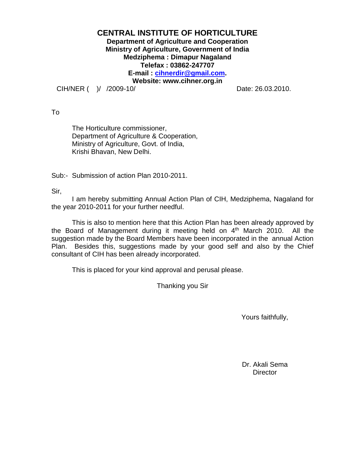# **CENTRAL INSTITUTE OF HORTICULTURE Department of Agriculture and Cooperation Ministry of Agriculture, Government of India Medziphema : Dimapur Nagaland Telefax : 03862-247707 E-mail : [cihnerdir@gmail.com.](mailto:cihnerdir@gmail.com) Website: www.cihner.org.in**

CIH/NER ( )/ /2009-10/ Date: 26.03.2010.

To

The Horticulture commissioner, Department of Agriculture & Cooperation, Ministry of Agriculture, Govt. of India, Krishi Bhavan, New Delhi.

Sub:- Submission of action Plan 2010-2011.

Sir,

I am hereby submitting Annual Action Plan of CIH, Medziphema, Nagaland for the year 2010-2011 for your further needful.

This is also to mention here that this Action Plan has been already approved by the Board of Management during it meeting held on  $4<sup>th</sup>$  March 2010. All the suggestion made by the Board Members have been incorporated in the annual Action Plan. Besides this, suggestions made by your good self and also by the Chief consultant of CIH has been already incorporated.

This is placed for your kind approval and perusal please.

Thanking you Sir

Yours faithfully,

Dr. Akali Sema **Director**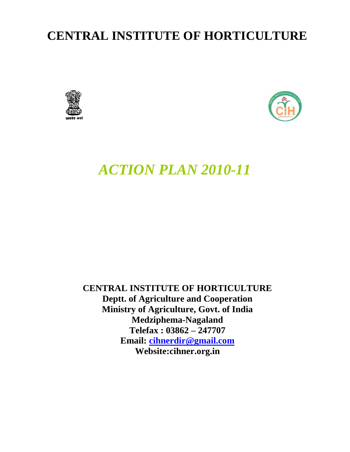# **CENTRAL INSTITUTE OF HORTICULTURE**





# *ACTION PLAN 2010-11*

**CENTRAL INSTITUTE OF HORTICULTURE Deptt. of Agriculture and Cooperation Ministry of Agriculture, Govt. of India Medziphema-Nagaland Telefax : 03862 – 247707 Email: [cihnerdir@gmail.com](mailto:cihnerdir@gmail.com) Website:cihner.org.in**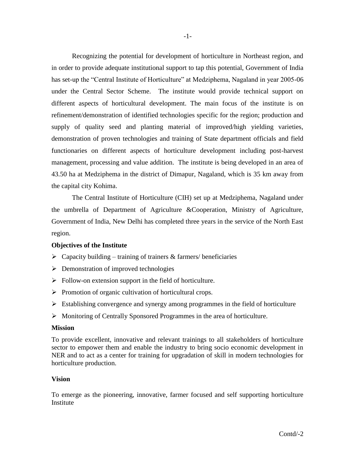Recognizing the potential for development of horticulture in Northeast region, and in order to provide adequate institutional support to tap this potential, Government of India has set-up the "Central Institute of Horticulture" at Medziphema, Nagaland in year 2005-06 under the Central Sector Scheme. The institute would provide technical support on different aspects of horticultural development. The main focus of the institute is on refinement/demonstration of identified technologies specific for the region; production and supply of quality seed and planting material of improved/high yielding varieties, demonstration of proven technologies and training of State department officials and field functionaries on different aspects of horticulture development including post-harvest management, processing and value addition. The institute is being developed in an area of 43.50 ha at Medziphema in the district of Dimapur, Nagaland, which is 35 km away from the capital city Kohima.

The Central Institute of Horticulture (CIH) set up at Medziphema, Nagaland under the umbrella of Department of Agriculture &Cooperation, Ministry of Agriculture, Government of India, New Delhi has completed three years in the service of the North East region.

# **Objectives of the Institute**

- $\triangleright$  Capacity building training of trainers & farmers/ beneficiaries
- $\triangleright$  Demonstration of improved technologies
- $\triangleright$  Follow-on extension support in the field of horticulture.
- $\triangleright$  Promotion of organic cultivation of horticultural crops.
- $\triangleright$  Establishing convergence and synergy among programmes in the field of horticulture
- Monitoring of Centrally Sponsored Programmes in the area of horticulture.

#### **Mission**

To provide excellent, innovative and relevant trainings to all stakeholders of horticulture sector to empower them and enable the industry to bring socio economic development in NER and to act as a center for training for upgradation of skill in modern technologies for horticulture production.

#### **Vision**

To emerge as the pioneering, innovative, farmer focused and self supporting horticulture Institute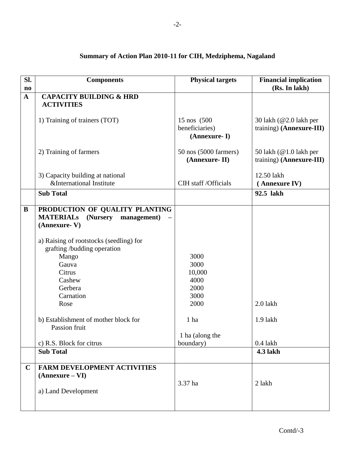| Sl.<br>$\mathbf{n}\mathbf{o}$ | <b>Components</b>                           | <b>Physical targets</b> | <b>Financial implication</b><br>(Rs. In lakh) |
|-------------------------------|---------------------------------------------|-------------------------|-----------------------------------------------|
| $\mathbf{A}$                  | <b>CAPACITY BUILDING &amp; HRD</b>          |                         |                                               |
|                               | <b>ACTIVITIES</b>                           |                         |                                               |
|                               |                                             |                         |                                               |
|                               | 1) Training of trainers (TOT)               | 15 nos (500             | 30 lakh (@2.0 lakh per                        |
|                               |                                             | beneficiaries)          | training) (Annexure-III)                      |
|                               |                                             | (Annexure-I)            |                                               |
|                               |                                             |                         |                                               |
|                               | 2) Training of farmers                      | 50 nos (5000 farmers)   | 50 lakh (@1.0 lakh per                        |
|                               |                                             | (Annexure-II)           | training) (Annexure-III)                      |
|                               |                                             |                         |                                               |
|                               | 3) Capacity building at national            |                         | 12.50 lakh                                    |
|                               | &International Institute                    | CIH staff / Officials   | (Annexure IV)                                 |
|                               | <b>Sub Total</b>                            |                         | 92.5 lakh                                     |
| B                             | PRODUCTION OF QUALITY PLANTING              |                         |                                               |
|                               | <b>MATERIALS</b><br>(Nursery<br>management) |                         |                                               |
|                               | (Annexure-V)                                |                         |                                               |
|                               |                                             |                         |                                               |
|                               | a) Raising of rootstocks (seedling) for     |                         |                                               |
|                               | grafting /budding operation                 |                         |                                               |
|                               | Mango                                       | 3000                    |                                               |
|                               | Gauva                                       | 3000                    |                                               |
|                               | Citrus                                      | 10,000                  |                                               |
|                               | Cashew                                      | 4000                    |                                               |
|                               | Gerbera                                     | 2000                    |                                               |
|                               | Carnation                                   | 3000                    |                                               |
|                               | Rose                                        | 2000                    | $2.0$ lakh                                    |
|                               |                                             |                         |                                               |
|                               | b) Establishment of mother block for        | 1 ha                    | 1.9 lakh                                      |
|                               | Passion fruit                               |                         |                                               |
|                               |                                             | 1 ha (along the         |                                               |
|                               | c) R.S. Block for citrus                    | boundary)               | $0.4$ lakh                                    |
|                               | <b>Sub Total</b>                            |                         | <b>4.3 lakh</b>                               |
| $\mathbf C$                   | FARM DEVELOPMENT ACTIVITIES                 |                         |                                               |
|                               | $(Annexure - VI)$                           |                         |                                               |
|                               |                                             | 3.37 ha                 | 2 lakh                                        |
|                               | a) Land Development                         |                         |                                               |
|                               |                                             |                         |                                               |
|                               |                                             |                         |                                               |

# **Summary of Action Plan 2010-11 for CIH, Medziphema, Nagaland**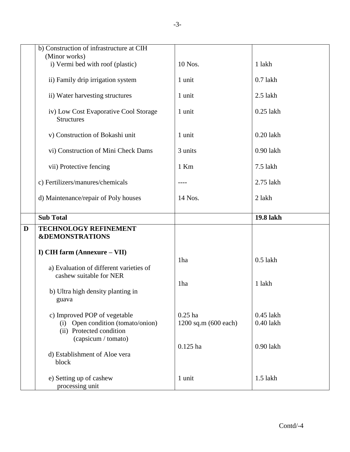|   | b) Construction of infrastructure at CIH<br>(Minor works)                                     |                                   |                            |
|---|-----------------------------------------------------------------------------------------------|-----------------------------------|----------------------------|
|   | i) Vermi bed with roof (plastic)                                                              | 10 Nos.                           | 1 lakh                     |
|   | ii) Family drip irrigation system                                                             | 1 unit                            | $0.7$ lakh                 |
|   | ii) Water harvesting structures                                                               | 1 unit                            | $2.5$ lakh                 |
|   | iv) Low Cost Evaporative Cool Storage<br><b>Structures</b>                                    | 1 unit                            | $0.25$ lakh                |
|   | v) Construction of Bokashi unit                                                               | 1 unit                            | $0.20$ lakh                |
|   | vi) Construction of Mini Check Dams                                                           | 3 units                           | 0.90 lakh                  |
|   | vii) Protective fencing                                                                       | 1 Km                              | 7.5 lakh                   |
|   | c) Fertilizers/manures/chemicals                                                              |                                   | 2.75 lakh                  |
|   | d) Maintenance/repair of Poly houses                                                          | 14 Nos.                           | 2 lakh                     |
|   |                                                                                               |                                   |                            |
|   | <b>Sub Total</b>                                                                              |                                   | 19.8 lakh                  |
| D | TECHNOLOGY REFINEMENT<br><b>&amp;DEMONSTRATIONS</b>                                           |                                   |                            |
|   | I) CIH farm (Annexure - VII)                                                                  |                                   |                            |
|   | a) Evaluation of different varieties of                                                       | 1ha                               | $0.5$ lakh                 |
|   | cashew suitable for NER<br>b) Ultra high density planting in<br>guava                         | 1ha                               | 1 lakh                     |
|   | c) Improved POP of vegetable<br>(i) Open condition (tomato/onion)<br>(ii) Protected condition | $0.25$ ha<br>1200 sq.m (600 each) | $0.45$ lakh<br>$0.40$ lakh |
|   | (capsicum / tomato)<br>d) Establishment of Aloe vera<br>block                                 | $0.125$ ha                        | $0.90$ lakh                |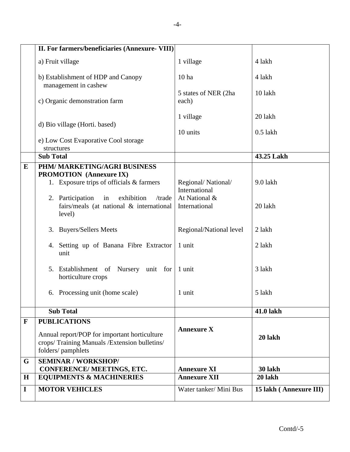|              | II. For farmers/beneficiaries (Annexure- VIII)                                                                                           |                                     |                        |
|--------------|------------------------------------------------------------------------------------------------------------------------------------------|-------------------------------------|------------------------|
|              | a) Fruit village                                                                                                                         | 1 village                           | 4 lakh                 |
|              | b) Establishment of HDP and Canopy<br>management in cashew                                                                               | 10 <sub>ha</sub>                    | 4 lakh                 |
|              | c) Organic demonstration farm                                                                                                            | 5 states of NER (2ha<br>each)       | 10 lakh                |
|              | d) Bio village (Horti. based)                                                                                                            | 1 village                           | 20 lakh                |
|              | e) Low Cost Evaporative Cool storage<br>structures                                                                                       | 10 units                            | $0.5$ lakh             |
|              | <b>Sub Total</b>                                                                                                                         |                                     | 43.25 Lakh             |
| $\bf{E}$     | PHM/ MARKETING/AGRI BUSINESS<br><b>PROMOTION</b> (Annexure IX)                                                                           |                                     |                        |
|              | 1. Exposure trips of officials & farmers                                                                                                 | Regional/National/<br>International | 9.0 lakh               |
|              | 2. Participation<br>exhibition<br>in<br>/trade<br>fairs/meals (at national & international<br>level)                                     | At National &<br>International      | 20 lakh                |
|              | 3. Buyers/Sellers Meets                                                                                                                  | Regional/National level             | 2 lakh                 |
|              | 4. Setting up of Banana Fibre Extractor<br>unit                                                                                          | 1 unit                              | 2 lakh                 |
|              | 5. Establishment of Nursery unit for 1 unit<br>horticulture crops                                                                        |                                     | 3 lakh                 |
|              | 6. Processing unit (home scale)                                                                                                          | 1 unit                              | 5 lakh                 |
|              | <b>Sub Total</b>                                                                                                                         |                                     | <b>41.0 lakh</b>       |
| $\mathbf{F}$ | <b>PUBLICATIONS</b><br>Annual report/POP for important horticulture<br>crops/Training Manuals /Extension bulletins/<br>folders/pamphlets | <b>Annexure X</b>                   | 20 lakh                |
| G            | <b>SEMINAR / WORKSHOP/</b><br>CONFERENCE/ MEETINGS, ETC.                                                                                 | <b>Annexure XI</b>                  | 30 lakh                |
| $\mathbf H$  | <b>EQUIPMENTS &amp; MACHINERIES</b>                                                                                                      | <b>Annexure XII</b>                 | 20 lakh                |
| I            | <b>MOTOR VEHICLES</b>                                                                                                                    | Water tanker/ Mini Bus              | 15 lakh (Annexure III) |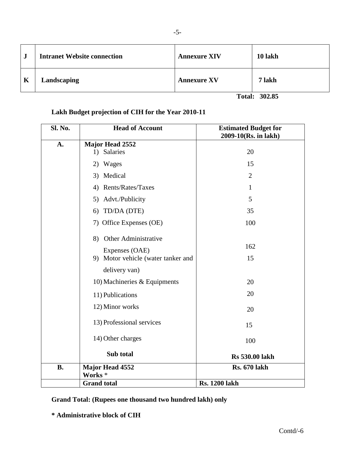| $\cdot$ | <b>Intranet Website connection</b> | <b>Annexure XIV</b> | 10 lakh |
|---------|------------------------------------|---------------------|---------|
| K       | Landscaping                        | <b>Annexure XV</b>  | 7 lakh  |

**Total: 302.85**

# **Lakh Budget projection of CIH for the Year 2010-11**

| Sl. No.   | <b>Head of Account</b>             | <b>Estimated Budget for</b><br>2009-10(Rs. in lakh) |
|-----------|------------------------------------|-----------------------------------------------------|
| A.        | <b>Major Head 2552</b>             |                                                     |
|           | 1) Salaries                        | 20                                                  |
|           | 2) Wages                           | 15                                                  |
|           | 3) Medical                         | $\overline{2}$                                      |
|           | 4) Rents/Rates/Taxes               | 1                                                   |
|           | 5) Advt./Publicity                 | 5                                                   |
|           | 6) TD/DA (DTE)                     | 35                                                  |
|           | 7) Office Expenses (OE)            | 100                                                 |
|           | 8) Other Administrative            |                                                     |
|           | Expenses (OAE)                     | 162                                                 |
|           | 9) Motor vehicle (water tanker and | 15                                                  |
|           | delivery van)                      |                                                     |
|           | 10) Machineries & Equipments       | 20                                                  |
|           | 11) Publications                   | 20                                                  |
|           | 12) Minor works                    | 20                                                  |
|           | 13) Professional services          | 15                                                  |
|           | 14) Other charges                  | 100                                                 |
|           | Sub total                          | <b>Rs 530.00 lakh</b>                               |
| <b>B.</b> | Major Head 4552                    | <b>Rs. 670 lakh</b>                                 |
|           | Works <sup>*</sup>                 |                                                     |
|           | <b>Grand</b> total                 | <b>Rs. 1200 lakh</b>                                |

**Grand Total: (Rupees one thousand two hundred lakh) only**

# **\* Administrative block of CIH**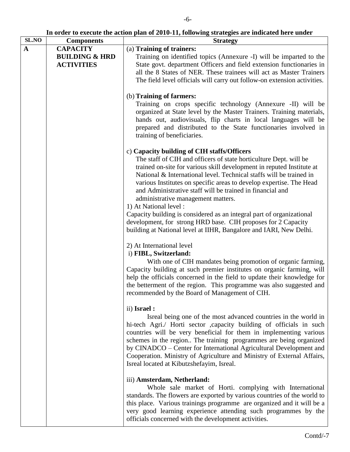**In order to execute the action plan of 2010-11, following strategies are indicated here under**

| SL.NO        | <b>Components</b>         | <b>Strategy</b>                                                                                                                                                                                                                                                           |
|--------------|---------------------------|---------------------------------------------------------------------------------------------------------------------------------------------------------------------------------------------------------------------------------------------------------------------------|
| $\mathbf{A}$ | <b>CAPACITY</b>           | (a) Training of trainers:                                                                                                                                                                                                                                                 |
|              | <b>BUILDING &amp; HRD</b> | Training on identified topics (Annexure -I) will be imparted to the                                                                                                                                                                                                       |
|              | <b>ACTIVITIES</b>         | State govt. department Officers and field extension functionaries in                                                                                                                                                                                                      |
|              |                           | all the 8 States of NER. These trainees will act as Master Trainers                                                                                                                                                                                                       |
|              |                           | The field level officials will carry out follow-on extension activities.                                                                                                                                                                                                  |
|              |                           | (b) Training of farmers:                                                                                                                                                                                                                                                  |
|              |                           | Training on crops specific technology (Annexure -II) will be<br>organized at State level by the Master Trainers. Training materials,                                                                                                                                      |
|              |                           | hands out, audiovisuals, flip charts in local languages will be<br>prepared and distributed to the State functionaries involved in<br>training of beneficiaries.                                                                                                          |
|              |                           | c) Capacity building of CIH staffs/Officers                                                                                                                                                                                                                               |
|              |                           | The staff of CIH and officers of state horticulture Dept. will be                                                                                                                                                                                                         |
|              |                           | trained on-site for various skill development in reputed Institute at<br>National & International level. Technical staffs will be trained in<br>various Institutes on specific areas to develop expertise. The Head                                                       |
|              |                           | and Administrative staff will be trained in financial and<br>administrative management matters.                                                                                                                                                                           |
|              |                           | 1) At National level :                                                                                                                                                                                                                                                    |
|              |                           | Capacity building is considered as an integral part of organizational                                                                                                                                                                                                     |
|              |                           | development, for strong HRD base. CIH proposes for 2 Capacity<br>building at National level at IIHR, Bangalore and IARI, New Delhi.                                                                                                                                       |
|              |                           | 2) At International level                                                                                                                                                                                                                                                 |
|              |                           | i) FIBL, Switzerland:<br>With one of CIH mandates being promotion of organic farming,                                                                                                                                                                                     |
|              |                           | Capacity building at such premier institutes on organic farming, will<br>help the officials concerned in the field to update their knowledge for<br>the betterment of the region. This programme was also suggested and<br>recommended by the Board of Management of CIH. |
|              |                           |                                                                                                                                                                                                                                                                           |
|              |                           | ii) Israel :                                                                                                                                                                                                                                                              |
|              |                           | Isreal being one of the most advanced countries in the world in<br>hi-tech Agri./ Horti sector ,capacity building of officials in such<br>countries will be very beneficial for them in implementing various                                                              |
|              |                           | schemes in the region The training programmes are being organized<br>by CINADCO - Center for International Agricultural Development and                                                                                                                                   |
|              |                           | Cooperation. Ministry of Agriculture and Ministry of External Affairs,<br>Isreal located at Kibutzshefayim, Isreal.                                                                                                                                                       |
|              |                           | iii) Amsterdam, Netherland:<br>Whole sale market of Horti. complying with International                                                                                                                                                                                   |
|              |                           | standards. The flowers are exported by various countries of the world to<br>this place. Various trainings programme are organized and it will be a<br>very good learning experience attending such programmes by the                                                      |
|              |                           | officials concerned with the development activities.                                                                                                                                                                                                                      |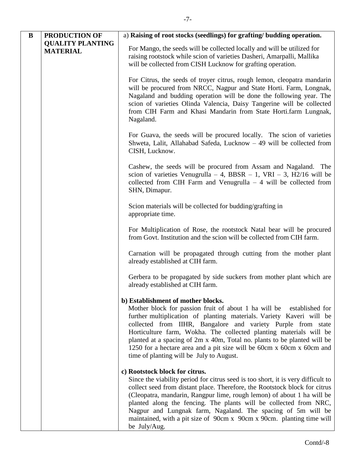| $\bf{B}$ | PRODUCTION OF                              | a) Raising of root stocks (seedlings) for grafting/ budding operation.                                                                                                                                                                                                                                                                                                                                                                                                                                                       |
|----------|--------------------------------------------|------------------------------------------------------------------------------------------------------------------------------------------------------------------------------------------------------------------------------------------------------------------------------------------------------------------------------------------------------------------------------------------------------------------------------------------------------------------------------------------------------------------------------|
|          | <b>QUALITY PLANTING</b><br><b>MATERIAL</b> | For Mango, the seeds will be collected locally and will be utilized for<br>raising rootstock while scion of varieties Dasheri, Amarpalli, Mallika<br>will be collected from CISH Lucknow for grafting operation.                                                                                                                                                                                                                                                                                                             |
|          |                                            | For Citrus, the seeds of troyer citrus, rough lemon, cleopatra mandarin<br>will be procured from NRCC, Nagpur and State Horti. Farm, Longnak,<br>Nagaland and budding operation will be done the following year. The<br>scion of varieties Olinda Valencia, Daisy Tangerine will be collected<br>from CIH Farm and Khasi Mandarin from State Horti.farm Lungnak,<br>Nagaland.                                                                                                                                                |
|          |                                            | For Guava, the seeds will be procured locally. The scion of varieties<br>Shweta, Lalit, Allahabad Safeda, Lucknow - 49 will be collected from<br>CISH, Lucknow.                                                                                                                                                                                                                                                                                                                                                              |
|          |                                            | Cashew, the seeds will be procured from Assam and Nagaland. The<br>scion of varieties Venugrulla – 4, BBSR – 1, VRI – 3, H2/16 will be<br>collected from CIH Farm and Venugrulla $-4$ will be collected from<br>SHN, Dimapur.                                                                                                                                                                                                                                                                                                |
|          |                                            | Scion materials will be collected for budding/grafting in<br>appropriate time.                                                                                                                                                                                                                                                                                                                                                                                                                                               |
|          |                                            | For Multiplication of Rose, the rootstock Natal bear will be procured<br>from Govt. Institution and the scion will be collected from CIH farm.                                                                                                                                                                                                                                                                                                                                                                               |
|          |                                            | Carnation will be propagated through cutting from the mother plant<br>already established at CIH farm.                                                                                                                                                                                                                                                                                                                                                                                                                       |
|          |                                            | Gerbera to be propagated by side suckers from mother plant which are<br>already established at CIH farm.                                                                                                                                                                                                                                                                                                                                                                                                                     |
|          |                                            | b) Establishment of mother blocks.<br>Mother block for passion fruit of about 1 ha will be<br>established for<br>further multiplication of planting materials. Variety Kaveri will be<br>collected from IIHR, Bangalore and variety Purple from state<br>Horticulture farm, Wokha. The collected planting materials will be<br>planted at a spacing of 2m x 40m, Total no. plants to be planted will be<br>1250 for a hectare area and a pit size will be 60cm x 60cm x 60cm and<br>time of planting will be July to August. |
|          |                                            | c) Rootstock block for citrus.<br>Since the viability period for citrus seed is too short, it is very difficult to<br>collect seed from distant place. Therefore, the Rootstock block for citrus<br>(Cleopatra, mandarin, Rangpur lime, rough lemon) of about 1 ha will be<br>planted along the fencing. The plants will be collected from NRC,<br>Nagpur and Lungnak farm, Nagaland. The spacing of 5m will be<br>maintained, with a pit size of 90cm x 90cm x 90cm. planting time will<br>be July/Aug.                     |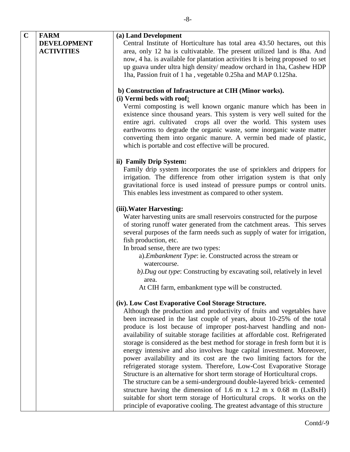| $\mathbf C$ | <b>FARM</b><br><b>DEVELOPMENT</b><br><b>ACTIVITIES</b> | (a) Land Development<br>Central Institute of Horticulture has total area 43.50 hectares, out this<br>area, only 12 ha is cultivatable. The present utilized land is 8ha. And<br>now, 4 ha. is available for plantation activities It is being proposed to set<br>up guava under ultra high density/ meadow orchard in 1ha, Cashew HDP<br>1ha, Passion fruit of 1 ha, vegetable 0.25ha and MAP 0.125ha.                                                                                                                                                                                                                                                                                                                                                                                                                                                                                                                                                                          |
|-------------|--------------------------------------------------------|---------------------------------------------------------------------------------------------------------------------------------------------------------------------------------------------------------------------------------------------------------------------------------------------------------------------------------------------------------------------------------------------------------------------------------------------------------------------------------------------------------------------------------------------------------------------------------------------------------------------------------------------------------------------------------------------------------------------------------------------------------------------------------------------------------------------------------------------------------------------------------------------------------------------------------------------------------------------------------|
|             |                                                        | b) Construction of Infrastructure at CIH (Minor works).                                                                                                                                                                                                                                                                                                                                                                                                                                                                                                                                                                                                                                                                                                                                                                                                                                                                                                                         |
|             |                                                        | (i) Vermi beds with roof:<br>Vermi composting is well known organic manure which has been in<br>existence since thousand years. This system is very well suited for the<br>entire agri. cultivated crops all over the world. This system uses<br>earthworms to degrade the organic waste, some inorganic waste matter<br>converting them into organic manure. A vermin bed made of plastic,<br>which is portable and cost effective will be procured.                                                                                                                                                                                                                                                                                                                                                                                                                                                                                                                           |
|             |                                                        | ii) Family Drip System:<br>Family drip system incorporates the use of sprinklers and drippers for<br>irrigation. The difference from other irrigation system is that only<br>gravitational force is used instead of pressure pumps or control units.<br>This enables less investment as compared to other system.                                                                                                                                                                                                                                                                                                                                                                                                                                                                                                                                                                                                                                                               |
|             |                                                        | (iii). Water Harvesting:<br>Water harvesting units are small reservoirs constructed for the purpose<br>of storing runoff water generated from the catchment areas. This serves<br>several purposes of the farm needs such as supply of water for irrigation,<br>fish production, etc.<br>In broad sense, there are two types:                                                                                                                                                                                                                                                                                                                                                                                                                                                                                                                                                                                                                                                   |
|             |                                                        | a). Embankment Type: ie. Constructed across the stream or<br>watercourse.<br>b). Dug out type: Constructing by excavating soil, relatively in level<br>area.                                                                                                                                                                                                                                                                                                                                                                                                                                                                                                                                                                                                                                                                                                                                                                                                                    |
|             |                                                        | At CIH farm, embankment type will be constructed.                                                                                                                                                                                                                                                                                                                                                                                                                                                                                                                                                                                                                                                                                                                                                                                                                                                                                                                               |
|             |                                                        | (iv). Low Cost Evaporative Cool Storage Structure.<br>Although the production and productivity of fruits and vegetables have<br>been increased in the last couple of years, about 10-25% of the total<br>produce is lost because of improper post-harvest handling and non-<br>availability of suitable storage facilities at affordable cost. Refrigerated<br>storage is considered as the best method for storage in fresh form but it is<br>energy intensive and also involves huge capital investment. Moreover,<br>power availability and its cost are the two limiting factors for the<br>refrigerated storage system. Therefore, Low-Cost Evaporative Storage<br>Structure is an alternative for short term storage of Horticultural crops.<br>The structure can be a semi-underground double-layered brick- cemented<br>structure having the dimension of 1.6 m x 1.2 m x 0.68 m ( $LxBxH$ )<br>suitable for short term storage of Horticultural crops. It works on the |
|             |                                                        | principle of evaporative cooling. The greatest advantage of this structure                                                                                                                                                                                                                                                                                                                                                                                                                                                                                                                                                                                                                                                                                                                                                                                                                                                                                                      |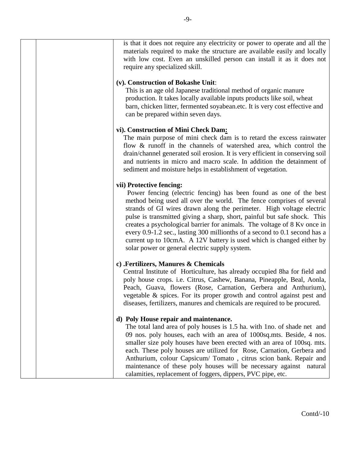is that it does not require any electricity or power to operate and all the materials required to make the structure are available easily and locally with low cost. Even an unskilled person can install it as it does not require any specialized skill.

# **(v). Construction of Bokashe Unit**:

This is an age old Japanese traditional method of organic manure production. It takes locally available inputs products like soil, wheat barn, chicken litter, fermented soyabean.etc. It is very cost effective and can be prepared within seven days.

# **vi). Construction of Mini Check Dam:**

The main purpose of mini check dam is to retard the excess rainwater flow & runoff in the channels of watershed area, which control the drain/channel generated soil erosion. It is very efficient in conserving soil and nutrients in micro and macro scale. In addition the detainment of sediment and moisture helps in establishment of vegetation.

# **vii) Protective fencing:**

Power fencing (electric fencing) has been found as one of the best method being used all over the world. The fence comprises of several strands of GI wires drawn along the perimeter. High voltage electric pulse is transmitted giving a sharp, short, painful but safe shock. This creates a psychological barrier for animals. The voltage of 8 Kv once in every 0.9-1.2 sec., lasting 300 millionths of a second to 0.1 second has a current up to 10cmA. A 12V battery is used which is changed either by solar power or general electric supply system.

# **c) .Fertilizers, Manures & Chemicals**

Central Institute of Horticulture, has already occupied 8ha for field and poly house crops. i.e. Citrus, Cashew, Banana, Pineapple, Beal, Aonla, Peach, Guava, flowers (Rose, Carnation, Gerbera and Anthurium), vegetable & spices. For its proper growth and control against pest and diseases, fertilizers, manures and chemicals are required to be procured.

# **d) Poly House repair and maintenance.**

The total land area of poly houses is 1.5 ha. with 1no. of shade net and 09 nos. poly houses, each with an area of 1000sq.mts. Beside, 4 nos. smaller size poly houses have been erected with an area of 100sq. mts. each. These poly houses are utilized for Rose, Carnation, Gerbera and Anthurium, colour Capsicum/ Tomato , citrus scion bank. Repair and maintenance of these poly houses will be necessary against natural calamities, replacement of foggers, dippers, PVC pipe, etc.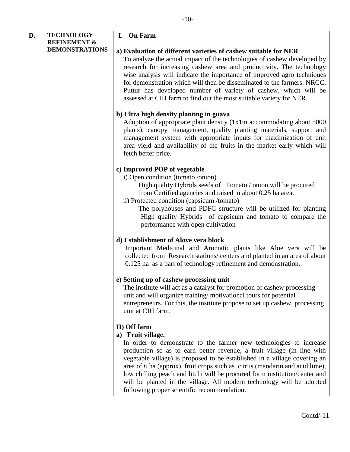| D. | <b>TECHNOLOGY</b>       | I. On Farm                                                                                                                                                                                                                                                                                                                                                                                                                                                                                                                                          |
|----|-------------------------|-----------------------------------------------------------------------------------------------------------------------------------------------------------------------------------------------------------------------------------------------------------------------------------------------------------------------------------------------------------------------------------------------------------------------------------------------------------------------------------------------------------------------------------------------------|
|    | <b>REFINEMENT &amp;</b> |                                                                                                                                                                                                                                                                                                                                                                                                                                                                                                                                                     |
|    | <b>DEMONSTRATIONS</b>   | a) Evaluation of different varieties of cashew suitable for NER<br>To analyze the actual impact of the technologies of cashew developed by<br>research for increasing cashew area and productivity. The technology<br>wise analysis will indicate the importance of improved agro techniques<br>for demonstration which will then be disseminated to the farmers. NRCC,<br>Puttur has developed number of variety of cashew, which will be<br>assessed at CIH farm to find out the most suitable variety for NER.                                   |
|    |                         | b) Ultra high density planting in guava<br>Adoption of appropriate plant density (1x1m accommodating about 5000<br>plants), canopy management, quality planting materials, support and<br>management system with appropriate inputs for maximization of unit<br>area yield and availability of the fruits in the market early which will<br>fetch better price.                                                                                                                                                                                     |
|    |                         | c) Improved POP of vegetable<br>i) Open condition (tomato /onion)<br>High quality Hybrids seeds of Tomato / onion will be procured<br>from Certified agencies and raised in about 0.25 ha area.<br>ii) Protected condition (capsicum /tomato)<br>The polyhouses and PDFC structure will be utilized for planting<br>High quality Hybrids of capsicum and tomato to compare the<br>performance with open cultivation                                                                                                                                 |
|    |                         | d) Establishment of Alove vera block<br>Important Medicinal and Aromatic plants like Aloe vera will be<br>collected from Research stations/ centers and planted in an area of about<br>0.125 ha as a part of technology refinement and demonstration.                                                                                                                                                                                                                                                                                               |
|    |                         | e) Setting up of cashew processing unit<br>The institute will act as a catalyst for promotion of cashew processing<br>unit and will organize training/motivational tours for potential<br>entrepreneurs. For this, the institute propose to set up cashew processing<br>unit at CIH farm.                                                                                                                                                                                                                                                           |
|    |                         | II) Off farm<br>a) Fruit village.<br>In order to demonstrate to the farmer new technologies to increase<br>production so as to earn better revenue, a fruit village (in line with<br>vegetable village) is proposed to be established in a village covering an<br>area of 6 ha (approx). fruit crops such as citrus (mandarin and acid lime),<br>low chilling peach and litchi will be procured form institution/center and<br>will be planted in the village. All modern technology will be adopted<br>following proper scientific recommendation. |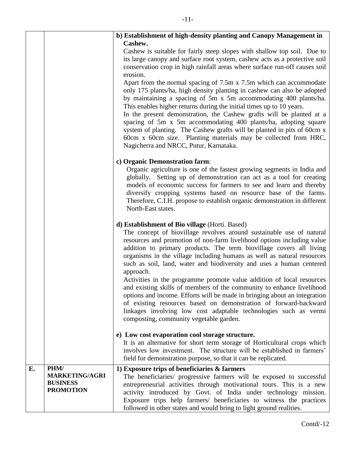|    |                                                                      | b) Establishment of high-density planting and Canopy Management in<br>Cashew.                                                                                                                                                                                                                                                                                                                                                                                                                                                                                                                                                |
|----|----------------------------------------------------------------------|------------------------------------------------------------------------------------------------------------------------------------------------------------------------------------------------------------------------------------------------------------------------------------------------------------------------------------------------------------------------------------------------------------------------------------------------------------------------------------------------------------------------------------------------------------------------------------------------------------------------------|
|    |                                                                      | Cashew is suitable for fairly steep slopes with shallow top soil. Due to<br>its large canopy and surface root system, cashew acts as a protective soil<br>conservation crop in high rainfall areas where surface run-off causes soil<br>erosion.                                                                                                                                                                                                                                                                                                                                                                             |
|    |                                                                      | Apart from the normal spacing of 7.5m x 7.5m which can accommodate<br>only 175 plants/ha, high density planting in cashew can also be adopted<br>by maintaining a spacing of 5m x 5m accommodating 400 plants/ha.<br>This enables higher returns during the initial times up to 10 years.<br>In the present demonstration, the Cashew grafts will be planted at a<br>spacing of 5m x 5m accommodating 400 plants/ha, adopting square<br>system of planting. The Cashew grafts will be planted in pits of 60cm x<br>60cm x 60cm size. Planting materials may be collected from HRC,<br>Nagicherra and NRCC, Putur, Karnataka. |
|    |                                                                      | c) Organic Demonstration farm:<br>Organic agriculture is one of the fastest growing segments in India and<br>globally. Setting up of demonstration can act as a tool for creating<br>models of economic success for farmers to see and learn and thereby<br>diversify cropping systems based on resource base of the farms.<br>Therefore, C.I.H. propose to establish organic demonstration in different<br>North-East states.                                                                                                                                                                                               |
|    |                                                                      | d) Establishment of Bio village (Horti. Based)<br>The concept of biovillage revolves around sustainable use of natural<br>resources and promotion of non-farm livelihood options including value<br>addition to primary products. The term biovillage covers all living<br>organisms in the village including humans as well as natural resources<br>such as soil, land, water and biodiversity and uses a human centered<br>approach.                                                                                                                                                                                       |
|    |                                                                      | Activities in the programme promote value addition of local resources<br>and existing skills of members of the community to enhance livelihood<br>options and income. Efforts will be made in bringing about an integration<br>of existing resources based on demonstration of forward-backward<br>linkages involving low cost adaptable technologies such as vermi<br>composting, community vegetable garden.                                                                                                                                                                                                               |
|    |                                                                      | e) Low cost evaporation cool storage structure.<br>It is an alternative for short term storage of Horticultural crops which<br>involves low investment. The structure will be established in farmers'<br>field for demonstration purpose, so that it can be replicated.                                                                                                                                                                                                                                                                                                                                                      |
| E. | PHM/<br><b>MARKETING/AGRI</b><br><b>BUSINESS</b><br><b>PROMOTION</b> | 1) Exposure trips of beneficiaries & farmers<br>The beneficiaries/ progressive farmers will be exposed to successful<br>entrepreneurial activities through motivational tours. This is a new<br>activity introduced by Govt. of India under technology mission.<br>Exposure trips help farmers/ beneficiaries to witness the practices<br>followed in other states and would bring to light ground realities.                                                                                                                                                                                                                |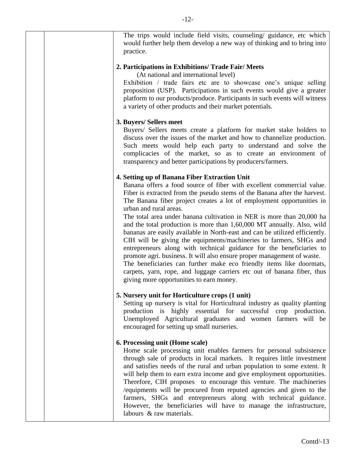The trips would include field visits, counseling/ guidance, etc which would further help them develop a new way of thinking and to bring into practice. **2. Participations in Exhibitions/ Trade Fair/ Meets**  (At national and international level) Exhibition / trade fairs etc are to showcase one's unique selling proposition (USP). Participations in such events would give a greater platform to our products/produce. Participants in such events will witness a variety of other products and their market potentials. **3. Buyers/ Sellers meet** Buyers/ Sellers meets create a platform for market stake holders to discuss over the issues of the market and how to channelize production. Such meets would help each party to understand and solve the complicacies of the market, so as to create an environment of transparency and better participations by producers/farmers. **4. Setting up of Banana Fiber Extraction Unit** Banana offers a food source of fiber with excellent commercial value. Fiber is extracted from the pseudo stems of the Banana after the harvest. The Banana fiber project creates a lot of employment opportunities in urban and rural areas. The total area under banana cultivation in NER is more than 20,000 ha and the total production is more than 1,60,000 MT annually. Also, wild bananas are easily available in North-east and can be utilized efficiently. CIH will be giving the equipments/machineries to farmers, SHGs and entrepreneurs along with technical guidance for the beneficiaries to promote agri. business. It will also ensure proper management of waste. The beneficiaries can further make eco friendly items like doormats, carpets, yarn, rope, and luggage carriers etc out of banana fiber, thus giving more opportunities to earn money. **5. Nursery unit for Horticulture crops (1 unit)** Setting up nursery is vital for Horticultural industry as quality planting production is highly essential for successful crop production. Unemployed Agricultural graduates and women farmers will be encouraged for setting up small nurseries. **6. Processing unit (Home scale)** Home scale processing unit enables farmers for personal subsistence through sale of products in local markets. It requires little investment and satisfies needs of the rural and urban population to some extent. It will help them to earn extra income and give employment opportunities. Therefore, CIH proposes to encourage this venture. The machineries /equipments will be procured from reputed agencies and given to the farmers, SHGs and entrepreneurs along with technical guidance. However, the beneficiaries will have to manage the infrastructure, labours & raw materials.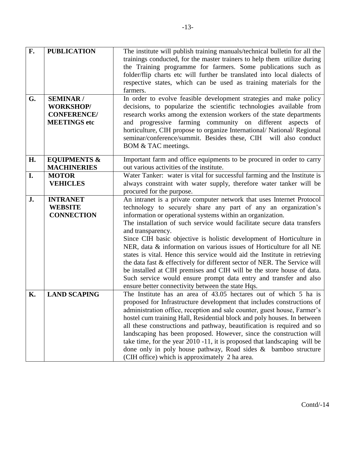| F.        | <b>PUBLICATION</b>                                                                | The institute will publish training manuals/technical bulletin for all the<br>trainings conducted, for the master trainers to help them utilize during<br>the Training programme for farmers. Some publications such as                                                                                                                                                                                                                                                                                                                                                                                                                                                                                                                                                                                            |
|-----------|-----------------------------------------------------------------------------------|--------------------------------------------------------------------------------------------------------------------------------------------------------------------------------------------------------------------------------------------------------------------------------------------------------------------------------------------------------------------------------------------------------------------------------------------------------------------------------------------------------------------------------------------------------------------------------------------------------------------------------------------------------------------------------------------------------------------------------------------------------------------------------------------------------------------|
|           |                                                                                   | folder/flip charts etc will further be translated into local dialects of<br>respective states, which can be used as training materials for the<br>farmers.                                                                                                                                                                                                                                                                                                                                                                                                                                                                                                                                                                                                                                                         |
| G.        | <b>SEMINAR /</b><br><b>WORKSHOP/</b><br><b>CONFERENCE/</b><br><b>MEETINGS</b> etc | In order to evolve feasible development strategies and make policy<br>decisions, to popularize the scientific technologies available from<br>research works among the extension workers of the state departments<br>and progressive farming community on different<br>aspects of<br>horticulture, CIH propose to organize International/ National/ Regional<br>seminar/conference/summit. Besides these, CIH will also conduct<br>BOM & TAC meetings.                                                                                                                                                                                                                                                                                                                                                              |
| H.        | <b>EQUIPMENTS &amp;</b><br><b>MACHINERIES</b>                                     | Important farm and office equipments to be procured in order to carry<br>out various activities of the institute.                                                                                                                                                                                                                                                                                                                                                                                                                                                                                                                                                                                                                                                                                                  |
| I.        | <b>MOTOR</b><br><b>VEHICLES</b>                                                   | Water Tanker: water is vital for successful farming and the Institute is<br>always constraint with water supply, therefore water tanker will be<br>procured for the purpose.                                                                                                                                                                                                                                                                                                                                                                                                                                                                                                                                                                                                                                       |
| J.        | <b>INTRANET</b><br><b>WEBSITE</b><br><b>CONNECTION</b>                            | An intranet is a private computer network that uses Internet Protocol<br>technology to securely share any part of any an organization's<br>information or operational systems within an organization.<br>The installation of such service would facilitate secure data transfers<br>and transparency.<br>Since CIH basic objective is holistic development of Horticulture in<br>NER, data & information on various issues of Horticulture for all NE<br>states is vital. Hence this service would aid the Institute in retrieving<br>the data fast & effectively for different sector of NER. The Service will<br>be installed at CIH premises and CIH will be the store house of data.<br>Such service would ensure prompt data entry and transfer and also<br>ensure better connectivity between the state Hqs. |
| <b>K.</b> | <b>LAND SCAPING</b>                                                               | The Institute has an area of 43.05 hectares out of which 5 ha is<br>proposed for Infrastructure development that includes constructions of<br>administration office, reception and sale counter, guest house, Farmer's<br>hostel cum training Hall, Residential block and poly houses. In between<br>all these constructions and pathway, beautification is required and so<br>landscaping has been proposed. However, since the construction will<br>take time, for the year 2010 -11, it is proposed that landscaping will be<br>done only in poly house pathway, Road sides $\&$ bamboo structure<br>(CIH office) which is approximately 2 ha area.                                                                                                                                                             |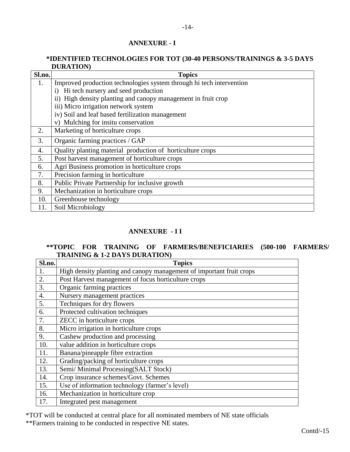# **ANNEXURE - I**

#### **\*IDENTIFIED TECHNOLOGIES FOR TOT (30-40 PERSONS/TRAININGS & 3-5 DAYS DURATION)**

-14-

| Sl.no. | <b>Topics</b>                                                        |  |
|--------|----------------------------------------------------------------------|--|
| 1.     | Improved production technologies system through hi tech intervention |  |
|        | Hi tech nursery and seed production<br>$\mathbf{i}$                  |  |
|        | ii) High density planting and canopy management in fruit crop        |  |
|        | iii) Micro irrigation network system                                 |  |
|        | iv) Soil and leaf based fertilization management                     |  |
|        | v) Mulching for insitu conservation                                  |  |
| 2.     | Marketing of horticulture crops                                      |  |
| 3.     | Organic farming practices / GAP                                      |  |
| 4.     | Quality planting material production of horticulture crops           |  |
| 5.     | Post harvest management of horticulture crops                        |  |
| 6.     | Agri Business promotion in horticulture crops                        |  |
| 7.     | Precision farming in horticulture                                    |  |
| 8.     | Public Private Partnership for inclusive growth                      |  |
| 9.     | Mechanization in horticulture crops                                  |  |
| 10.    | Greenhouse technology                                                |  |
| 11.    | Soil Microbiology                                                    |  |

# **ANNEXURE - I I**

# **\*\*TOPIC FOR TRAINING OF FARMERS/BENEFICIARIES (500-100 FARMERS/ TRAINING & 1-2 DAYS DURATION)**

| Sl.no. | <b>Topics</b>                                                        |
|--------|----------------------------------------------------------------------|
| 1.     | High density planting and canopy management of important fruit crops |
| 2.     | Post Harvest management of focus horticulture crops                  |
| 3.     | Organic farming practices                                            |
| 4.     | Nursery management practices                                         |
| 5.     | Techniques for dry flowers                                           |
| 6.     | Protected cultivation techniques                                     |
| 7.     | ZECC in horticulture crops                                           |
| 8.     | Micro irrigation in horticulture crops                               |
| 9.     | Cashew production and processing                                     |
| 10.    | value addition in horticulture crops                                 |
| 11.    | Banana/pineapple fibre extraction                                    |
| 12.    | Grading/packing of horticulture crops                                |
| 13.    | Semi/Minimal Processing(SALT Stock)                                  |
| 14.    | Crop insurance schemes/Govt. Schemes                                 |
| 15.    | Use of information technology (farmer's level)                       |
| 16.    | Mechanization in horticulture crop                                   |
| 17.    | Integrated pest management                                           |

\*TOT will be conducted at central place for all nominated members of NE state officials

\*\*Farmers training to be conducted in respective NE states.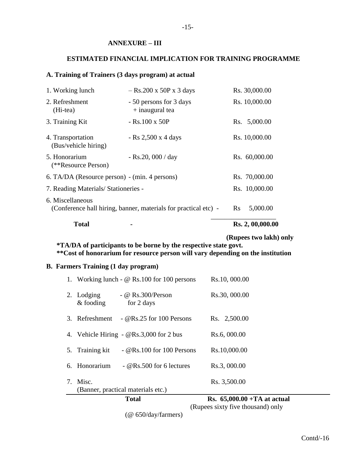#### **ANNEXURE – III**

#### **ESTIMATED FINANCIAL IMPLICATION FOR TRAINING PROGRAMME**

# **A. Training of Trainers (3 days program) at actual**

| 1. Working lunch                              | $-$ Rs.200 x 50P x 3 days                                       | Rs. 30,000.00        |
|-----------------------------------------------|-----------------------------------------------------------------|----------------------|
| 2. Refreshment<br>(Hi-tea)                    | - 50 persons for 3 days<br>$+$ inaugural tea                    | Rs. 10,000.00        |
| 3. Training Kit                               | $-Rs.100 \times 50P$                                            | Rs. 5,000.00         |
| 4. Transportation<br>(Bus/vehicle hiring)     | - Rs $2,500 \times 4$ days                                      | Rs. 10,000.00        |
| 5. Honorarium<br>(**Resource Person)          | - Rs.20, 000 / day                                              | Rs. 60,000.00        |
| 6. TA/DA (Resource person) - (min. 4 persons) |                                                                 | Rs. 70,000.00        |
| 7. Reading Materials/Stationeries -           |                                                                 | Rs. 10,000.00        |
| 6. Miscellaneous                              | (Conference hall hiring, banner, materials for practical etc) - | 5,000.00<br>$\rm Rs$ |
| <b>Total</b>                                  |                                                                 | Rs. 2, 00,000.00     |

 **(Rupees two lakh) only**

 **\*TA/DA of participants to be borne by the respective state govt. \*\*Cost of honorarium for resource person will vary depending on the institution**

# **B. Farmers Training (1 day program)**

|                           |                                                    | (Rupees sixty five thousand) only     |
|---------------------------|----------------------------------------------------|---------------------------------------|
|                           | <b>Total</b>                                       | <b>Rs.</b> $65,000.00 + TA$ at actual |
|                           | (Banner, practical materials etc.)                 |                                       |
| 7. Misc.                  |                                                    | Rs. 3,500.00                          |
| 6. Honorarium             | - $\&$ Rs.500 for 6 lectures                       | Rs.3, 000.00                          |
| 5. Training kit           | $\sim$ @Rs.100 for 100 Persons                     | Rs.10,000.00                          |
|                           | 4. Vehicle Hiring - $QRs.3,000$ for 2 bus          | Rs.6, 000.00                          |
| 3. Refreshment            | $\sim$ @Rs.25 for 100 Persons                      | Rs. 2,500.00                          |
| 2. Lodging<br>$&$ fooding | - @ $Rs.300/Person$<br>for 2 days                  | Rs.30, 000.00                         |
|                           | 1. Working lunch - $\omega$ Rs.100 for 100 persons | Rs.10, 000.00                         |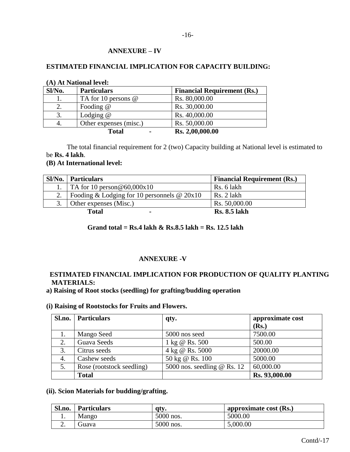# **ANNEXURE – IV**

# **ESTIMATED FINANCIAL IMPLICATION FOR CAPACITY BUILDING:**

| (A) At National level: |                        |                                    |  |  |
|------------------------|------------------------|------------------------------------|--|--|
| Sl/No.                 | <b>Particulars</b>     | <b>Financial Requirement (Rs.)</b> |  |  |
|                        | TA for 10 persons $@$  | Rs. 80,000.00                      |  |  |
|                        | Fooding $@$            | Rs. 30,000.00                      |  |  |
| 3.                     | Lodging $@$            | Rs. 40,000.00                      |  |  |
|                        | Other expenses (misc.) | Rs. 50,000.00                      |  |  |
|                        | <b>Total</b>           | Rs. 2,00,000.00                    |  |  |

The total financial requirement for 2 (two) Capacity building at National level is estimated to be **Rs. 4 lakh**.

#### **(B) At International level:**

| Sl/No. | <b>Particulars</b>                            | <b>Financial Requirement (Rs.)</b> |
|--------|-----------------------------------------------|------------------------------------|
|        | TA for 10 person @60,000 $x10$                | Rs. 6 lakh                         |
| 2.     | Fooding & Lodging for 10 personnels $@ 20x10$ | Rs. 2 lakh                         |
| 3.     | Other expenses (Misc.)                        | Rs. 50,000.00                      |
|        | Total<br>$\blacksquare$                       | <b>Rs. 8.5 lakh</b>                |

# **Grand total = Rs.4 lakh & Rs.8.5 lakh = Rs. 12.5 lakh**

# **ANNEXURE -V**

# **ESTIMATED FINANCIAL IMPLICATION FOR PRODUCTION OF QUALITY PLANTING MATERIALS:**

**a) Raising of Root stocks (seedling) for grafting/budding operation** 

#### **(i) Raising of Rootstocks for Fruits and Flowers.**

| Sl.no. | <b>Particulars</b>        | qty.                          | approximate cost |
|--------|---------------------------|-------------------------------|------------------|
|        |                           |                               | (Rs.)            |
| 1.     | Mango Seed                | 5000 nos seed                 | 7500.00          |
| 2.     | Guava Seeds               | 1 kg @ Rs. 500                | 500.00           |
| 3.     | Citrus seeds              | 4 kg @ Rs. 5000               | 20000.00         |
| 4.     | Cashew seeds              | 50 kg @ Rs. 100               | 5000.00          |
| 5.     | Rose (rootstock seedling) | 5000 nos. seedling $@$ Rs. 12 | 60,000.00        |
|        | <b>Total</b>              |                               | Rs. 93,000.00    |

# **(ii). Scion Materials for budding/grafting.**

| Sl.no. | <b>Particulars</b> | atv.      | ' approximate cost $(Rs.)$ |
|--------|--------------------|-----------|----------------------------|
| . .    | Mango              | 5000 nos. | 5000.00                    |
| ـ ت    | <b>Guava</b>       | 5000 nos. | 5,000.00                   |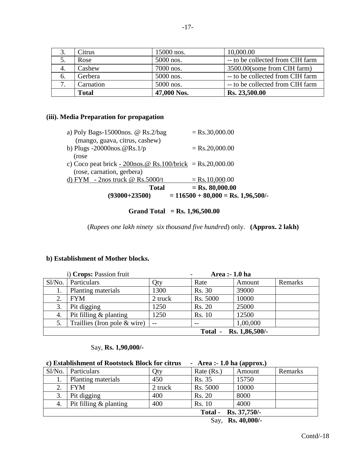| J.           | Citrus       | 15000 nos.  | 10,000.00                        |
|--------------|--------------|-------------|----------------------------------|
| 5.           | Rose         | 5000 nos.   | -- to be collected from CIH farm |
| 4.           | Cashew       | 7000 nos.   | 3500.00(some from CIH farm)      |
| 6.           | Gerbera      | 5000 nos.   | -- to be collected from CIH farm |
| $\mathbf{z}$ | Carnation    | 5000 nos.   | -- to be collected from CIH farm |
|              | <b>Total</b> | 47,000 Nos. | Rs. 23,500.00                    |

# **(iii). Media Preparation for propagation**

| $(93000+23500)$                                            | $= 116500 + 80,000 = \text{Rs. } 1,96,500$ . |
|------------------------------------------------------------|----------------------------------------------|
| <b>Total</b>                                               | $=$ Rs. 80,000.00                            |
| d) FYM $-$ 2nos truck @ Rs.5000/t                          | $=$ Rs.10,000.00                             |
| (rose, carnation, gerbera)                                 |                                              |
| c) Coco peat brick - 200nos. @ Rs.100/brick = Rs.20,000.00 |                                              |
| (rose)                                                     |                                              |
| b) Plugs -20000nos. $@$ Rs. $1/p$                          | $=$ Rs.20,000.00                             |
| (mango, guava, citrus, cashew)                             |                                              |
| a) Poly Bags-15000nos. $\omega$ Rs.2/bag                   | $=$ Rs.30,000.00                             |

# **Grand Total = Rs. 1,96,500.00**

(*Rupees one lakh ninety six thousand five hundred*) only. **(Approx. 2 lakh)** 

# **b) Establishment of Mother blocks.**

| i) Crops: Passion fruit        |                                |               | Area :- 1.0 ha |          |         |
|--------------------------------|--------------------------------|---------------|----------------|----------|---------|
| Sl/No.                         | Particulars                    | Qty           | Rate           | Amount   | Remarks |
|                                | Planting materials             | 1300          | <b>Rs. 30</b>  | 39000    |         |
| 2.                             | <b>FYM</b>                     | 2 truck       | Rs. 5000       | 10000    |         |
| 3.                             | Pit digging                    | 1250          | <b>Rs. 20</b>  | 25000    |         |
| 4.                             | Pit filling $&$ planting       | 1250          | <b>Rs. 10</b>  | 12500    |         |
|                                | Traillies (Iron pole $&$ wire) | $\sim$ $\sim$ |                | 1,00,000 |         |
| Rs. 1,86,500/-<br><b>Total</b> |                                |               |                |          |         |

# Say, **Rs. 1,90,000/-**

|                      | c) Establishment of Rootstock Block for citrus |         | - Area :- 1.0 ha (approx.) |        |         |
|----------------------|------------------------------------------------|---------|----------------------------|--------|---------|
| $S1/N0$ .            | <b>Particulars</b>                             | Qty     | Rate (Rs.)                 | Amount | Remarks |
|                      | Planting materials                             | 450     | Rs. 35                     | 15750  |         |
| 2.                   | <b>FYM</b>                                     | 2 truck | Rs. 5000                   | 10000  |         |
| 3.                   | Pit digging                                    | 400     | <b>Rs. 20</b>              | 8000   |         |
| 4.                   | Pit filling $&$ planting                       | 400     | <b>Rs. 10</b>              | 4000   |         |
| Total - Rs. 37,750/- |                                                |         |                            |        |         |

Say, **Rs. 40,000/-**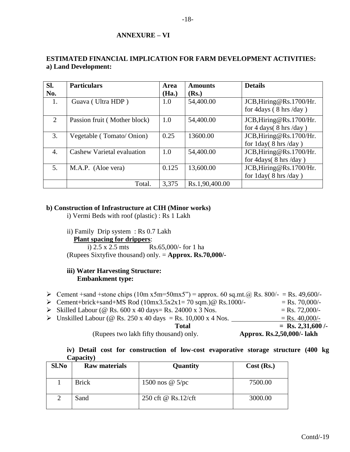# **ANNEXURE – VI**

# **ESTIMATED FINANCIAL IMPLICATION FOR FARM DEVELOPMENT ACTIVITIES: a) Land Development:**

| SI.            | <b>Particulars</b>           | Area  | <b>Amounts</b> | <b>Details</b>                                                        |
|----------------|------------------------------|-------|----------------|-----------------------------------------------------------------------|
| No.            |                              | (Ha.) | (Rs.)          |                                                                       |
| 1.             | Guava (Ultra HDP)            | 1.0   | 54,400.00      | JCB, Hiring@Rs.1700/Hr.<br>for $4 \text{days}$ (8 hrs /day)           |
| $\overline{2}$ | Passion fruit (Mother block) | 1.0   | 54,400.00      | JCB, Hiring@Rs.1700/Hr.<br>for 4 days(8 hrs/day)                      |
| 3.             | Vegetable (Tomato/Onion)     | 0.25  | 13600.00       | JCB, Hiring@Rs.1700/Hr.<br>for $1day(8 hrs/day)$                      |
| 4.             | Cashew Varietal evaluation   | 1.0   | 54,400.00      | JCB, Hiring@Rs.1700/Hr.<br>for $4 \frac{days}{8}$ hrs $\frac{day}{9}$ |
| 5.             | M.A.P. (Aloe vera)           | 0.125 | 13,600.00      | JCB, Hiring@Rs.1700/Hr.<br>for $1day(8 hrs/day)$                      |
|                | Total.                       | 3.375 | Rs.1,90,400.00 |                                                                       |

# **b) Construction of Infrastructure at CIH (Minor works)**

i) Vermi Beds with roof (plastic) : Rs 1 Lakh

ii) Family Drip system : Rs 0.7 Lakh

# **Plant spacing for drippers**:

i) 2.5 x 2.5 mts Rs.65,000/- for 1 ha (Rupees Sixtyfive thousand) only. = **Approx. Rs.70,000/-**

# **iii) Water Harvesting Structure: Embankment type:**

- ≻ Cement +sand +stone chips (10m x5m=50mx5") = approx. 60 sq.mt.@ Rs. 800/- = Rs. 49,600/-
- $\triangleright$  Cement+brick+sand+MS Rod (10mx3.5x2x1= 70 sqm.)@ Rs.1000/- = Rs. 70,000/-
- $\triangleright$  Skilled Labour (@ Rs. 600 x 40 days= Rs. 24000 x 3 Nos. = Rs. 72,000/-
- $\triangleright$  Unskilled Labour (@ Rs. 250 x 40 days = Rs. 10,000 x 4 Nos. = Rs. 40,000/-

**Total** = Rs. 2,31,600 /-(Rupees two lakh fifty thousand) only. **Approx. Rs.2,50,000/- lakh**

**iv) Detail cost for construction of low-cost evaporative storage structure (400 kg Capacity)**

| Sl.No | <b>Raw materials</b> | Quantity               | $Cost$ (Rs.) |
|-------|----------------------|------------------------|--------------|
|       | <b>Brick</b>         | 1500 nos $\omega$ 5/pc | 7500.00      |
|       | Sand                 | 250 cft @ Rs.12/cft    | 3000.00      |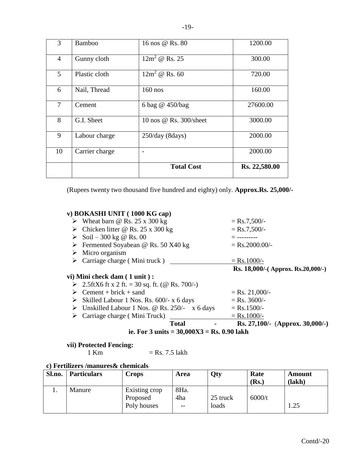| 3              | <b>Bamboo</b>  | 16 nos @ Rs. 80        | 1200.00       |
|----------------|----------------|------------------------|---------------|
| $\overline{4}$ | Gunny cloth    | $12m^2 \tQ$ Rs. 25     | 300.00        |
| 5              | Plastic cloth  | $12m^2 \tQ$ Rs. 60     | 720.00        |
| 6              | Nail, Thread   | $160$ nos              | 160.00        |
| $\tau$         | Cement         | 6 bag @ 450/bag        | 27600.00      |
| 8              | G.I. Sheet     | 10 nos @ Rs. 300/sheet | 3000.00       |
| 9              | Labour charge  | 250/day (8 days)       | 2000.00       |
| 10             | Carrier charge |                        | 2000.00       |
|                |                | <b>Total Cost</b>      | Rs. 22,580.00 |

(Rupees twenty two thousand five hundred and eighty) only. **Approx.Rs. 25,000/-**

| v) BOKASHI UNIT (1000 KG cap)                                                        |                                   |
|--------------------------------------------------------------------------------------|-----------------------------------|
| $\triangleright$ Wheat barn @ Rs. 25 x 300 kg                                        | $=$ Rs.7,500/-                    |
| $\triangleright$ Chicken litter @ Rs. 25 x 300 kg                                    | $=$ Rs.7,500/-                    |
| ► Soil – 300 kg @ Rs. 00                                                             | $=$ ---------                     |
| $\triangleright$ Fermented Soyabean @ Rs. 50 X40 kg                                  | $=$ Rs.2000.00/-                  |
| $\triangleright$ Micro organism                                                      |                                   |
| $\triangleright$ Carriage charge (Mini truck)                                        | $=$ Rs.1000/-                     |
|                                                                                      | Rs. 18,000/-(Approx. Rs.20,000/-) |
| vi) Mini check dam (1 unit):                                                         |                                   |
| ► 2.5ftX6 ft x 2 ft. = 30 sq. ft. (@ Rs. 700/-)                                      |                                   |
| $\triangleright$ Cement + brick + sand                                               | $=$ Rs. 21,000/-                  |
| $\triangleright$ Skilled Labour 1 Nos. Rs. 600/- x 6 days                            | $=$ Rs. 3600/-                    |
| $\triangleright$ Unskilled Labour 1 Nos. @ Rs. 250/- x 6 days                        | $=$ Rs.1500/-                     |
| $\triangleright$ Carriage charge (Mini Truck)                                        | $=$ Rs.1000/-                     |
| <b>Total</b>                                                                         | Rs. 27,100/- (Approx. 30,000/-)   |
| ie. For $3 \text{ units} = 30,000 \text{ X} \cdot 3 = \text{Rs. } 0.90 \text{ lakh}$ |                                   |
|                                                                                      |                                   |

# **vii) Protected Fencing:**

 $=$  Rs. 7.5 lakh

# **c) Fertilizers /manures& chemicals**

| Sl.no. | <b>Particulars</b> | Crops                     | <b>Area</b> | <b>Qty</b> | Rate<br>(Rs.) | Amount<br>(lakh) |
|--------|--------------------|---------------------------|-------------|------------|---------------|------------------|
|        | Manure             | Existing crop<br>Proposed | 8Ha.<br>4ha | 25 truck   | 6000/t        |                  |
|        |                    | Poly houses               | $- -$       | loads      |               | .25              |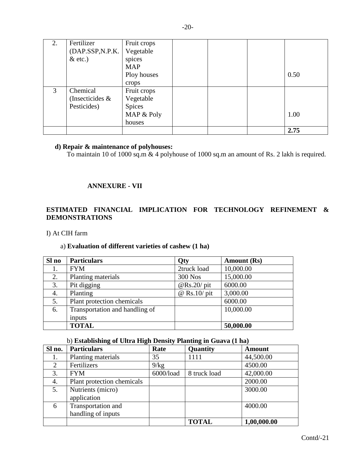| 2. | Fertilizer      | Fruit crops |  |      |
|----|-----------------|-------------|--|------|
|    | (DAP.SSP,N.P.K. | Vegetable   |  |      |
|    | $&$ etc.)       | spices      |  |      |
|    |                 | <b>MAP</b>  |  |      |
|    |                 | Ploy houses |  | 0.50 |
|    |                 | crops       |  |      |
| 3  | Chemical        | Fruit crops |  |      |
|    | (Insecticides & | Vegetable   |  |      |
|    | Pesticides)     | Spices      |  |      |
|    |                 | MAP & Poly  |  | 1.00 |
|    |                 | houses      |  |      |
|    |                 |             |  | 2.75 |

#### **d) Repair & maintenance of polyhouses:**

To maintain 10 of 1000 sq.m & 4 polyhouse of 1000 sq.m an amount of Rs. 2 lakh is required.

#### **ANNEXURE - VII**

# **ESTIMATED FINANCIAL IMPLICATION FOR TECHNOLOGY REFINEMENT & DEMONSTRATIONS**

I) At CIH farm

# a) **Evaluation of different varieties of cashew (1 ha)**

| Sl no | <b>Particulars</b>             | Qty            | <b>Amount</b> (Rs) |
|-------|--------------------------------|----------------|--------------------|
| 1.    | <b>FYM</b>                     | 2truck load    | 10,000.00          |
| 2.    | Planting materials             | 300 Nos        | 15,000.00          |
| 3.    | Pit digging                    | $@$ Rs.20/ pit | 6000.00            |
| 4.    | Planting                       | $@$ Rs.10/ pit | 3,000.00           |
| 5.    | Plant protection chemicals     |                | 6000.00            |
| 6.    | Transportation and handling of |                | 10,000.00          |
|       | inputs                         |                |                    |
|       | <b>TOTAL</b>                   |                | 50,000.00          |

# b) **Establishing of Ultra High Density Planting in Guava (1 ha)**

| Sl no. | <b>Particulars</b>         | Rate      | Quantity     | <b>Amount</b> |
|--------|----------------------------|-----------|--------------|---------------|
| 1.     | Planting materials         | 35        | 1111         | 44,500.00     |
| 2      | Fertilizers                | 9/kg      |              | 4500.00       |
| 3.     | <b>FYM</b>                 | 6000/load | 8 truck load | 42,000.00     |
| 4.     | Plant protection chemicals |           |              | 2000.00       |
| 5.     | Nutrients (micro)          |           |              | 3000.00       |
|        | application                |           |              |               |
| 6      | Transportation and         |           |              | 4000.00       |
|        | handling of inputs         |           |              |               |
|        |                            |           | <b>TOTAL</b> | 1,00,000.00   |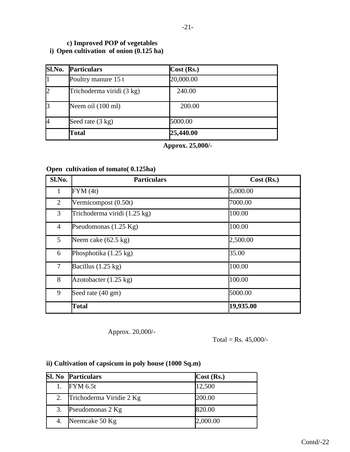# **c) Improved POP of vegetables i) Open cultivation of onion (0.125 ha)**

| Sl.No.         | <b>Particulars</b>        | Cost (Rs.) |  |
|----------------|---------------------------|------------|--|
|                | Poultry manure 15 t       | 20,000.00  |  |
| $\overline{2}$ | Trichoderma viridi (3 kg) | 240.00     |  |
| 3              | Neem oil (100 ml)         | 200.00     |  |
| 4              | Seed rate (3 kg)          | 5000.00    |  |
|                | <b>Total</b>              | 25,440.00  |  |

**Approx. 25,000/-**

# **Open cultivation of tomato( 0.125ha)**

| Sl.No.         | <b>Particulars</b>              | Cost (Rs.) |
|----------------|---------------------------------|------------|
| $\mathbf{1}$   | FYM(4t)                         | 5,000.00   |
| 2              | Vermicompost (0.50t)            | 7000.00    |
| 3              | Trichoderma viridi (1.25 kg)    | 100.00     |
| $\overline{4}$ | Pseudomonas $(1.25 \text{ Kg})$ | 100.00     |
| 5              | Neem cake $(62.5 \text{ kg})$   | 2,500.00   |
| 6              | Phosphotika $(1.25 \text{ kg})$ | 35.00      |
| 7              | Bacillus $(1.25 \text{ kg})$    | 100.00     |
| 8              | Azotobacter $(1.25 \text{ kg})$ | 100.00     |
| 9              | Seed rate (40 gm)               | 5000.00    |
|                | <b>Total</b>                    | 19,935.00  |

Approx. 20,000/-

Total = Rs.  $45,000/$ -

# **ii) Cultivation of capsicum in poly house (1000 Sq.m)**

|    | <b>Sl. No Particulars</b> | Cost (Rs.) |
|----|---------------------------|------------|
|    | <b>FYM 6.5t</b>           | 12,500     |
| 2. | Trichoderma Viridie 2 Kg  | 200.00     |
| 3. | Pseudomonas 2 Kg          | 820.00     |
| 4. | Neemcake 50 Kg            | 2,000.00   |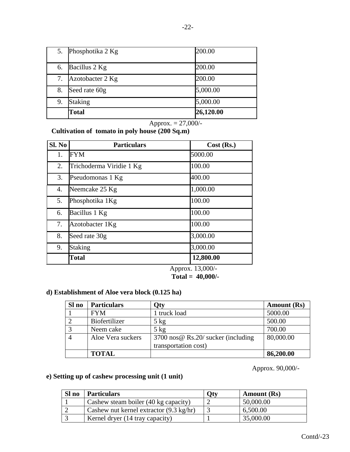| 5. | Phosphotika 2 Kg | 200.00    |
|----|------------------|-----------|
| 6. | Bacillus 2 Kg    | 200.00    |
| 7. | Azotobacter 2 Kg | 200.00    |
| 8. | Seed rate 60g    | 5,000.00  |
| 9. | <b>Staking</b>   | 5,000.00  |
|    | <b>Total</b>     | 26,120.00 |

Approx. = 27,000/-

**Cultivation of tomato in poly house (200 Sq.m)**

| Sl. No | <b>Particulars</b>       | $Cost$ (Rs.)                            |
|--------|--------------------------|-----------------------------------------|
| 1.     | <b>FYM</b>               | 5000.00                                 |
| 2.     | Trichoderma Viridie 1 Kg | 100.00                                  |
| 3.     | Pseudomonas 1 Kg         | 400.00                                  |
| 4.     | Neemcake 25 Kg           | 1,000.00                                |
| 5.     | Phosphotika 1Kg          | 100.00                                  |
| 6.     | Bacillus 1 Kg            | 100.00                                  |
| 7.     | Azotobacter 1Kg          | 100.00                                  |
| 8.     | Seed rate 30g            | 3,000.00                                |
| 9.     | <b>Staking</b>           | 3,000.00                                |
|        | <b>Total</b>             | 12,800.00<br>100001<br>$\blacktriangle$ |

Approx. 13,000/-  **Total = 40,000/-**

# **d) Establishment of Aloe vera block (0.125 ha)**

| Sl no | <b>Particulars</b> | Qty                                        | <b>Amount</b> (Rs) |
|-------|--------------------|--------------------------------------------|--------------------|
|       | <b>FYM</b>         | truck load                                 | 5000.00            |
|       | Biofertilizer      | $5 \text{ kg}$                             | 500.00             |
|       | Neem cake          | $5 \text{ kg}$                             | 700.00             |
|       | Aloe Vera suckers  | 3700 nos $\omega$ Rs.20/ sucker (including | 80,000.00          |
|       |                    | transportation cost)                       |                    |
|       | <b>TOTAL</b>       |                                            | 86,200.00          |

Approx. 90,000/-

# **e) Setting up of cashew processing unit (1 unit)**

| Sl no | <b>Particulars</b>                                | Qty | <b>Amount</b> (Rs) |
|-------|---------------------------------------------------|-----|--------------------|
|       | Cashew steam boiler (40 kg capacity)              |     | 50,000.00          |
|       | Cashew nut kernel extractor $(9.3 \text{ kg/hr})$ |     | 6,500.00           |
|       | Kernel dryer (14 tray capacity)                   |     | 35,000.00          |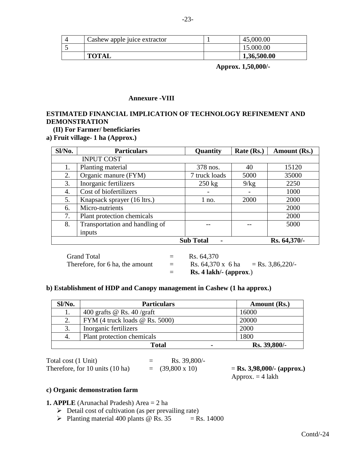| Cashew apple juice extractor | 45,000.00   |
|------------------------------|-------------|
|                              | 15.000.00   |
| <b>TOTAL</b>                 | 1,36,500.00 |

 **Approx. 1,50,000/-**

#### **Annexure -VIII**

# **ESTIMATED FINANCIAL IMPLICATION OF TECHNOLOGY REFINEMENT AND DEMONSTRATION**

# **(II) For Farmer/ beneficiaries**

**a) Fruit village- 1 ha (Approx.)**

| Sl/No.                                             | <b>Particulars</b>             | Quantity         | Rate (Rs.) | Amount (Rs.) |
|----------------------------------------------------|--------------------------------|------------------|------------|--------------|
|                                                    | <b>INPUT COST</b>              |                  |            |              |
| 1.                                                 | Planting material              | 378 nos.         | 40         | 15120        |
| 2.                                                 | Organic manure (FYM)           | 7 truck loads    | 5000       | 35000        |
| 3.                                                 | Inorganic fertilizers          | $250 \text{ kg}$ | 9/kg       | 2250         |
| 4.                                                 | Cost of biofertilizers         |                  |            | 1000         |
| 5.                                                 | Knapsack sprayer (16 ltrs.)    | $1$ no.          | 2000       | 2000         |
| 6.                                                 | Micro-nutrients                |                  |            | 2000         |
| 7.                                                 | Plant protection chemicals     |                  |            | 2000         |
| 8.                                                 | Transportation and handling of |                  |            | 5000         |
|                                                    | inputs                         |                  |            |              |
| Rs. 64,370/-<br><b>Sub Total</b><br>$\blacksquare$ |                                |                  |            |              |

Grand Total  $=$  Rs. 64,370

Therefore, for 6 ha, the amount  $=$  Rs. 64,370 x 6 ha  $=$  Rs. 3,86,220/-

= **Rs. 4 lakh/- (approx**.)

#### **b) Establishment of HDP and Canopy management in Cashew (1 ha approx.)**

| Sl/No. | <b>Particulars</b>                 | Amount (Rs.) |
|--------|------------------------------------|--------------|
|        | 400 grafts @ Rs. $40$ /graft       | 16000        |
| 2.     | FYM $(4$ truck loads $@$ Rs. 5000) | 20000        |
| 3.     | Inorganic fertilizers              | 2000         |
| 4.     | Plant protection chemicals         | 1800         |
|        | <b>Total</b><br>$\blacksquare$     | Rs. 39,800/- |

Total cost  $(1 \text{ Unit})$  = Rs. 39,800/-Therefore, for 10 units (10 ha)  $=$  (39,800 x 10)  $=$  **Rs. 3,98,000/- (approx.)** 

Approx.  $=$  4 lakh

# **c) Organic demonstration farm**

#### **1. APPLE** (Arunachal Pradesh) Area = 2 ha

- $\triangleright$  Detail cost of cultivation (as per prevailing rate)
- Planting material 400 plants  $\textcircled{R}$  Rs. 35 = Rs. 14000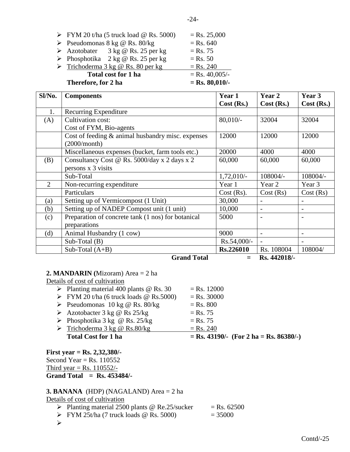| $\triangleright$ FYM 20 t/ha (5 truck load @ Rs. 5000) | $=$ Rs. 25,000   |
|--------------------------------------------------------|------------------|
| $\triangleright$ Pseudomonas 8 kg @ Rs. 80/kg          | $=$ Rs. 640      |
| $\triangleright$ Azotobater 3 kg @ Rs. 25 per kg       | $=$ Rs. 75       |
| $\triangleright$ Phosphotika 2 kg @ Rs. 25 per kg      | $=$ Rs. 50       |
| $\triangleright$ Trichoderma 3 kg @ Rs. 80 per kg      | $=$ Rs. 240      |
| Total cost for 1 ha                                    | $=$ Rs. 40,005/- |
| Therefore, for 2 ha                                    | $=$ Rs. 80,010/- |

| Sl/No.         | <b>Components</b>                                  | Year 1           | Year 2         | Year 3                   |
|----------------|----------------------------------------------------|------------------|----------------|--------------------------|
|                |                                                    | $Cost$ (Rs.)     | Cost (Rs.)     | Cost (Rs.)               |
| 1.             | Recurring Expenditure                              |                  |                |                          |
| (A)            | Cultivation cost:                                  | $80,010/-$       | 32004          | 32004                    |
|                | Cost of FYM, Bio-agents                            |                  |                |                          |
|                | Cost of feeding & animal husbandry misc. expenses  | 12000            | 12000          | 12000                    |
|                | (2000/month)                                       |                  |                |                          |
|                | Miscellaneous expenses (bucket, farm tools etc.)   | 20000            | 4000           | 4000                     |
| (B)            | Consultancy Cost @ Rs. 5000/day x 2 days x 2       | 60,000           | 60,000         | 60,000                   |
|                | persons x 3 visits                                 |                  |                |                          |
|                | Sub-Total                                          | $1,72,010/-$     | 108004/-       | 108004/-                 |
| $\overline{2}$ | Non-recurring expenditure                          | Year 1           | Year 2         | Year 3                   |
|                | Particulars                                        | Cost (Rs).       | Cost(Rs)       | Cost(Rs)                 |
| (a)            | Setting up of Vermicompost (1 Unit)                | 30,000           |                |                          |
| (b)            | Setting up of NADEP Compost unit (1 unit)          | 10,000           | $\blacksquare$ | $\overline{\phantom{a}}$ |
| (c)            | Preparation of concrete tank (1 nos) for botanical | 5000             |                |                          |
|                | preparations                                       |                  |                |                          |
| (d)            | Animal Husbandry (1 cow)                           | 9000             |                |                          |
|                | $Sub-Total(B)$                                     | Rs.54,000/-      |                |                          |
|                | Sub-Total $(A+B)$                                  | <b>Rs.226010</b> | Rs. 108004     | 108004/                  |
|                | <b>Grand Total</b>                                 |                  | Rs. 442018/-   |                          |

# **2. MANDARIN (**Mizoram) Area = 2 ha

Details of cost of cultivation

- Planting material 400 plants  $\textcircled{R}$  Rs. 30 = Rs. 12000
- $\triangleright$  FYM 20 t/ha (6 truck loads @ Rs.5000) = Rs. 30000
- $\triangleright$  Pseudomonas 10 kg @ Rs. 80/kg = Rs. 800
- Azotobacter 3 kg @ Rs  $25/kg = Rs. 75$
- Phosphotika 3 kg @ Rs. 25/kg = Rs. 75  $\triangleright$  Trichoderma 3 kg @ Rs.80/kg = Rs. 240
	- **Total Cost for 1 ha**  $=$  **Rs. 43190/-** (For 2 ha = Rs. 86380/-)

**First year = Rs. 2,32,380/-** Second Year = Rs.  $110552$ Third year = Rs.  $110552/-$ **Grand Total = Rs. 453484/-**

# **3. BANANA** (HDP) (NAGALAND) Area = 2 ha

Details of cost of cultivation

- Planting material 2500 plants @ Re.25/sucker = Rs. 62500
- $\triangleright$  FYM 25t/ha (7 truck loads @ Rs. 5000) = 35000
- $\blacktriangleright$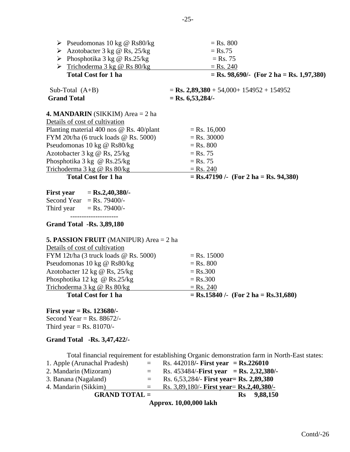| $\triangleright$ Pseudomonas 10 kg @ Rs80/kg    | $=$ Rs. 800                                                                                   |
|-------------------------------------------------|-----------------------------------------------------------------------------------------------|
| $\triangleright$ Azotobacter 3 kg @ Rs, 25/kg   | $=$ Rs.75                                                                                     |
| $\triangleright$ Phosphotika 3 kg @ Rs.25/kg    | $=$ Rs. 75                                                                                    |
| $\triangleright$ Trichoderma 3 kg @ Rs 80/kg    | $=$ Rs. 240                                                                                   |
| <b>Total Cost for 1 ha</b>                      | $=$ Rs. 98,690/- (For 2 ha $=$ Rs. 1,97,380)                                                  |
| Sub-Total $(A+B)$                               | $=$ <b>Rs.</b> 2,89,380 + 54,000+ 154952 + 154952                                             |
| <b>Grand Total</b>                              | $=$ Rs. 6,53,284/-                                                                            |
| <b>4. MANDARIN</b> (SIKKIM) Area $= 2$ ha       |                                                                                               |
| Details of cost of cultivation                  |                                                                                               |
| Planting material 400 nos @ Rs. 40/plant        | $=$ Rs. 16,000                                                                                |
| FYM 20t/ha (6 truck loads @ Rs. 5000)           | $=$ Rs. 30000                                                                                 |
| Pseudomonas 10 kg @ Rs80/kg                     | $=$ Rs. 800                                                                                   |
| Azotobacter 3 kg @ Rs, 25/kg                    | $=$ Rs. 75                                                                                    |
| Phosphotika 3 kg @ Rs.25/kg                     | $=$ Rs. 75                                                                                    |
| Trichoderma 3 kg @ Rs 80/kg                     | $=$ Rs. 240                                                                                   |
| <b>Total Cost for 1 ha</b>                      | $=$ Rs.47190 /- (For 2 ha = Rs. 94,380)                                                       |
| First year = Rs.2,40,380/-                      |                                                                                               |
| Second Year = Rs. 79400/-                       |                                                                                               |
| Third year $=$ Rs. 79400/-                      |                                                                                               |
| <b>Grand Total -Rs. 3,89,180</b>                |                                                                                               |
| <b>5. PASSION FRUIT</b> (MANIPUR) Area $= 2$ ha |                                                                                               |
| Details of cost of cultivation                  |                                                                                               |
| FYM 12t/ha (3 truck loads @ Rs. 5000)           | $=$ Rs. 15000                                                                                 |
| Pseudomonas 10 kg @ Rs80/kg                     | $=$ Rs. 800                                                                                   |
| Azotobacter 12 kg @ Rs, 25/kg                   | $=$ Rs.300                                                                                    |
| Phosphotika 12 kg @ Rs.25/kg                    | $=$ Rs.300                                                                                    |
| Trichoderma 3 kg @ Rs 80/kg                     | $=$ Rs. 240                                                                                   |
| <b>Total Cost for 1 ha</b>                      | $=$ Rs.15840 /- (For 2 ha $=$ Rs.31,680)                                                      |
| <b>First year = Rs. 123680/-</b>                |                                                                                               |
| Second Year = Rs. $88672/-$                     |                                                                                               |
| Third year = Rs. $81070/-$                      |                                                                                               |
| <b>Grand Total -Rs. 3,47,422/-</b>              |                                                                                               |
|                                                 | Total financial requirement for establishing Organic demonstration farm in North-East states: |
| 1. Apple (Arunachal Pradesh)<br>$=$             | Rs. 442018/- First year = $\text{Rs.}226010$                                                  |
| 2. Mandarin (Mizoram)<br>$\equiv$               | Rs. 453484/-First year = Rs. 2,32,380/-                                                       |
| 3. Banana (Nagaland)<br>$=$                     | Rs. 6,53,284/- First year = Rs. 2,89,380                                                      |

4. Mandarin (Sikkim) = Rs. 3,89,180/- **First year**= **Rs. 2,40,380/-**<br>**GRAND TOTAL** = Rs. 9,88,150

**GRAND TOTAL =** 

**Approx. 10,00,000 lakh**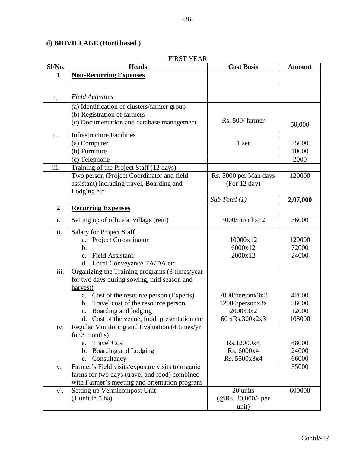# **d) BIOVILLAGE (Horti based )**

# FIRST YEAR

| Sl/No.         | <b>Heads</b>                                     | <b>Cost Basis</b>     | <b>Amount</b> |
|----------------|--------------------------------------------------|-----------------------|---------------|
| 1.             | <b>Non-Recurring Expenses</b>                    |                       |               |
|                |                                                  |                       |               |
| i.             | <b>Field Activities</b>                          |                       |               |
|                | (a) Identification of clusters/farmer group      |                       |               |
|                | (b) Registration of farmers                      |                       |               |
|                | (c) Documentation and database management        | Rs. 500/farmer        | 50,000        |
| ii.            | <b>Infrastructure Facilities</b>                 |                       |               |
|                | (a) Computer                                     | 1 set                 | 25000         |
|                | (b) Furniture                                    |                       | 10000         |
|                | (c) Telephone                                    |                       | 2000          |
| iii.           | Training of the Project Staff (12 days)          |                       |               |
|                | Two person (Project Coordinator and field        | Rs. 5000 per Man days | 120000        |
|                | assistant) including travel, Boarding and        | (For 12 day)          |               |
|                | Lodging etc                                      |                       |               |
|                |                                                  | Sub Total $(1)$       | 2,07,000      |
| $\overline{2}$ | <b>Recurring Expenses</b>                        |                       |               |
| i.             | Setting up of office at village (rent)           | 3000/monthx12         | 36000         |
| ii.            | <b>Salary for Project Staff</b>                  |                       |               |
|                | a. Project Co-ordinator                          | 10000x12              | 120000        |
|                | $b$                                              | 6000x12               | 72000         |
|                | c. Field Assistant.                              | 2000x12               | 24000         |
|                | d. Local Conveyance TA/DA etc                    |                       |               |
| iii.           | Organizing the Training programs (3 times/year   |                       |               |
|                | for two days during sowing, mid season and       |                       |               |
|                | harvest)                                         |                       |               |
|                | a. Cost of the resource person (Experts)         | 7000/personx3x2       | 42000         |
|                | b. Travel cost of the resource person            | 12000/personx3x       | 36000         |
|                | c. Boarding and lodging                          | 2000x3x2              | 12000         |
|                | d. Cost of the venue, food, presentation etc     | 60 xRs.300x2x3        | 108000        |
| iv.            | Regular Monitoring and Evaluation (4 times/yr)   |                       |               |
|                | for $3$ months)                                  |                       |               |
|                | a. Travel Cost                                   | Rs.12000x4            | 48000         |
|                | b. Boarding and Lodging                          | Rs. 6000x4            | 24000         |
|                | c. Consultancy                                   | Rs. 5500x3x4          | 66000         |
| V.             | Farmer's Field visits/exposure visits to organic |                       | 35000         |
|                | farms for two days (travel and food) combined    |                       |               |
|                | with Farmer's meeting and orientation program    |                       |               |
| vi.            | <b>Setting up Vermicompost Unit</b>              | 20 units              | 600000        |
|                | $(1 \text{ unit in } 5 \text{ ha})$              | $(QRS. 30,000)$ - per |               |
|                |                                                  | unit)                 |               |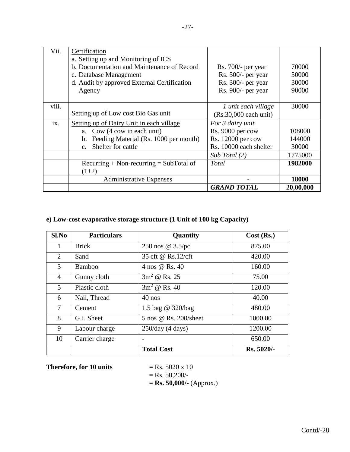| Vii.  | Certification                               |                         |           |
|-------|---------------------------------------------|-------------------------|-----------|
|       | a. Setting up and Monitoring of ICS         |                         |           |
|       | b. Documentation and Maintenance of Record  | $Rs. 700/-$ per year    | 70000     |
|       | c. Database Management                      | Rs. 500/- per year      | 50000     |
|       | d. Audit by approved External Certification | Rs. 300/- per year      | 30000     |
|       | Agency                                      | Rs. 900/- per year      | 90000     |
|       |                                             |                         |           |
| viii. |                                             | 1 unit each village     | 30000     |
|       | Setting up of Low cost Bio Gas unit         | $(Rs.30,000$ each unit) |           |
| ix.   | Setting up of Dairy Unit in each village    | For 3 dairy unit        |           |
|       | a. Cow (4 cow in each unit)                 | Rs. 9000 per cow        | 108000    |
|       | b. Feeding Material (Rs. 1000 per month)    | Rs. 12000 per cow       | 144000    |
|       | Shelter for cattle<br>$\mathbf{c}$ .        | Rs. 10000 each shelter  | 30000     |
|       |                                             | Sub Total (2)           | 1775000   |
|       | $Recuring + Non-recurring = SubTotal of$    | Total                   | 1982000   |
|       | $(1+2)$                                     |                         |           |
|       | <b>Administrative Expenses</b>              |                         | 18000     |
|       |                                             | <b>GRAND TOTAL</b>      | 20,00,000 |

# **e) Low-cost evaporative storage structure (1 Unit of 100 kg Capacity)**

| S1.No          | <b>Particulars</b> | Quantity              | Cost (Rs.) |
|----------------|--------------------|-----------------------|------------|
| 1              | <b>Brick</b>       | 250 nos @ 3.5/pc      | 875.00     |
| 2              | Sand               | 35 cft @ Rs.12/cft    | 420.00     |
| 3              | <b>Bamboo</b>      | 4 nos @ Rs. 40        | 160.00     |
| $\overline{4}$ | Gunny cloth        | $3m^2 \omega$ Rs. 25  | 75.00      |
| 5              | Plastic cloth      | $3m^2 \omega$ Rs. 40  | 120.00     |
| 6              | Nail, Thread       | $40$ nos              | 40.00      |
| $\overline{7}$ | Cement             | 1.5 bag @ 320/bag     | 480.00     |
| 8              | G.I. Sheet         | 5 nos @ Rs. 200/sheet | 1000.00    |
| 9              | Labour charge      | 250/day (4 days)      | 1200.00    |
| 10             | Carrier charge     |                       | 650.00     |
|                |                    | <b>Total Cost</b>     | Rs. 5020/- |

**Therefore, for 10 units**  $=$  Rs. 5020 x 10

$$
=
$$
 Rs. 50,200/-

= **Rs. 50,000/-** (Approx.)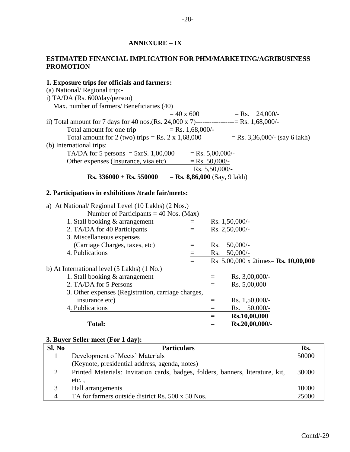# **ANNEXURE – IX**

# **ESTIMATED FINANCIAL IMPLICATION FOR PHM/MARKETING/AGRIBUSINESS PROMOTION**

| 1. Exposure trips for officials and farmers:                                             |                                       |                    |                                      |
|------------------------------------------------------------------------------------------|---------------------------------------|--------------------|--------------------------------------|
| (a) National/Regional trip:-                                                             |                                       |                    |                                      |
| i) TA/DA (Rs. 600/day/person)                                                            |                                       |                    |                                      |
| Max. number of farmers/ Beneficiaries (40)                                               |                                       |                    |                                      |
|                                                                                          | $= 40 \times 600$                     |                    | $=$ Rs.<br>$24,000/-$                |
| ii) Total amount for 7 days for 40 nos. (Rs. 24,000 x 7)----------------- Rs. 1,68,000/- |                                       |                    |                                      |
| Total amount for one trip                                                                | $=$ Rs. 1,68,000/-                    |                    |                                      |
| Total amount for 2 (two) trips = Rs. $2 \times 1,68,000$                                 |                                       |                    | $=$ Rs. 3,36,000/- (say 6 lakh)      |
| (b) International trips:                                                                 |                                       |                    |                                      |
| TA/DA for 5 persons = $5xrs$ . 1,00,000                                                  |                                       | $=$ Rs. 5,00,000/- |                                      |
| Other expenses (Insurance, visa etc)                                                     |                                       | $=$ Rs. 50,000/-   |                                      |
|                                                                                          |                                       | Rs. 5,50,000/-     |                                      |
| $Rs. 336000 + Rs. 550000$                                                                | $=$ <b>Rs.</b> 8,86,000 (Say, 9 lakh) |                    |                                      |
|                                                                                          |                                       |                    |                                      |
| 2. Participations in exhibitions /trade fair/meets:                                      |                                       |                    |                                      |
| a) At National/ Regional Level (10 Lakhs) (2 Nos.)                                       |                                       |                    |                                      |
| Number of Participants = $40$ Nos. (Max)                                                 |                                       |                    |                                      |
| 1. Stall booking & arrangement                                                           | $=$                                   |                    | Rs. 1,50,000/-                       |
| 2. TA/DA for 40 Participants                                                             | $=$                                   |                    | Rs. 2,50,000/-                       |
| 3. Miscellaneous expenses                                                                |                                       |                    |                                      |
| (Carriage Charges, taxes, etc)                                                           | $=$                                   | Rs.                | $50,000/$ -                          |
| 4. Publications                                                                          |                                       | Rs.                | $50,000/-$                           |
|                                                                                          | $=$                                   |                    | Rs 5,00,000 x 2times = Rs. 10,00,000 |
| b) At International level (5 Lakhs) (1 No.)                                              |                                       |                    |                                      |
| 1. Stall booking & arrangement                                                           |                                       | $\!\!\!=\!\!\!$    | Rs. $3,00,000/$ -                    |
| 2. TA/DA for 5 Persons                                                                   |                                       | $=$                | Rs. 5,00,000                         |
| 3. Other expenses (Registration, carriage charges,                                       |                                       |                    |                                      |
| insurance etc)                                                                           |                                       | $\equiv$           | Rs. 1,50,000/-                       |
| 4. Publications                                                                          |                                       | $=$                | Rs. $50,000/-$                       |
|                                                                                          |                                       | Ξ                  | Rs.10,00,000                         |
| <b>Total:</b>                                                                            |                                       | $=$                | Rs.20,00,000/-                       |
|                                                                                          |                                       |                    |                                      |

# **3. Buyer Seller meet (For 1 day):**

| SI. No | <b>Particulars</b>                                                              | Rs.   |
|--------|---------------------------------------------------------------------------------|-------|
|        | Development of Meets' Materials                                                 | 50000 |
|        | (Keynote, presidential address, agenda, notes)                                  |       |
|        | Printed Materials: Invitation cards, badges, folders, banners, literature, kit, | 30000 |
|        | etc                                                                             |       |
|        | Hall arrangements                                                               | 10000 |
|        | TA for farmers outside district Rs. 500 x 50 Nos.                               | 25000 |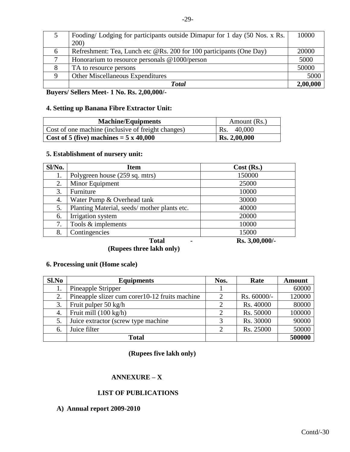|   | Fooding/Lodging for participants outside Dimapur for 1 day (50 Nos. x Rs. | 10000    |
|---|---------------------------------------------------------------------------|----------|
|   | 200)                                                                      |          |
| 6 | Refreshment: Tea, Lunch etc @Rs. 200 for 100 participants (One Day)       | 20000    |
|   | Honorarium to resource personals $@1000/person$                           | 5000     |
|   | TA to resource persons                                                    | 50000    |
|   | <b>Other Miscellaneous Expenditures</b>                                   | 5000     |
|   | <b>Total</b>                                                              | 2,00,000 |

**Buyers/ Sellers Meet- 1 No. Rs. 2,00,000/-**

# **4. Setting up Banana Fibre Extractor Unit:**

| <b>Machine/Equipments</b>                          | Amount (Rs.)        |
|----------------------------------------------------|---------------------|
| Cost of one machine (inclusive of freight changes) | 40,000<br>Rs.       |
| Cost of 5 (five) machines $=$ 5 x 40,000           | <b>Rs. 2,00,000</b> |

#### **5. Establishment of nursery unit:**

| Sl/No. | <b>Item</b>                                 | Cost (Rs.)     |
|--------|---------------------------------------------|----------------|
| 1.     | Polygreen house (259 sq. mtrs)              | 150000         |
| 2.     | Minor Equipment                             | 25000          |
| 3.     | Furniture                                   | 10000          |
| 4.     | Water Pump & Overhead tank                  | 30000          |
| 5.     | Planting Material, seeds/mother plants etc. | 40000          |
| 6.     | Irrigation system                           | 20000          |
| 7.     | Tools & implements                          | 10000          |
| 8.     | Contingencies                               | 15000          |
|        | <b>Total</b>                                | Rs. 3,00,000/- |

**(Rupees three lakh only)**

# **6. Processing unit (Home scale)**

| Sl.No | <b>Equipments</b>                               | Nos. | Rate          | <b>Amount</b> |
|-------|-------------------------------------------------|------|---------------|---------------|
|       | Pineapple Stripper                              |      |               | 60000         |
| 2.    | Pineapple slizer cum corer 10-12 fruits machine |      | $Rs. 60000/-$ | 120000        |
| 3.    | Fruit pulper 50 kg/h                            |      | Rs. 40000     | 80000         |
| 4.    | Fruit mill $(100 \text{ kg/h})$                 |      | Rs. 50000     | 100000        |
|       | Juice extractor (screw type machine             |      | Rs. 30000     | 90000         |
| 6.    | Juice filter                                    |      | Rs. 25000     | 50000         |
|       | <b>Total</b>                                    |      |               | 500000        |

**(Rupees five lakh only)**

# **ANNEXURE – X**

# **LIST OF PUBLICATIONS**

# **A) Annual report 2009-2010**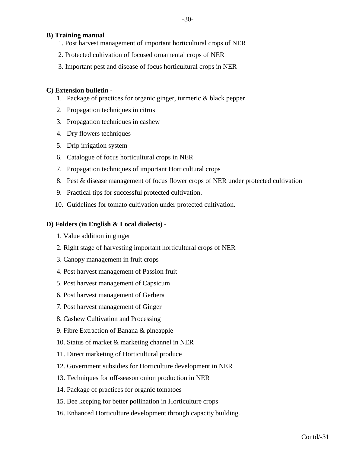# **B) Training manual**

- 1. Post harvest management of important horticultural crops of NER
- 2. Protected cultivation of focused ornamental crops of NER
- 3. Important pest and disease of focus horticultural crops in NER

# **C) Extension bulletin -**

- 1. Package of practices for organic ginger, turmeric & black pepper
- 2. Propagation techniques in citrus
- 3. Propagation techniques in cashew
- 4. Dry flowers techniques
- 5. Drip irrigation system
- 6. Catalogue of focus horticultural crops in NER
- 7. Propagation techniques of important Horticultural crops
- 8. Pest & disease management of focus flower crops of NER under protected cultivation
- 9. Practical tips for successful protected cultivation.
- 10. Guidelines for tomato cultivation under protected cultivation.

# **D) Folders (in English & Local dialects) -**

- 1. Value addition in ginger
- 2. Right stage of harvesting important horticultural crops of NER
- 3. Canopy management in fruit crops
- 4. Post harvest management of Passion fruit
- 5. Post harvest management of Capsicum
- 6. Post harvest management of Gerbera
- 7. Post harvest management of Ginger
- 8. Cashew Cultivation and Processing
- 9. Fibre Extraction of Banana & pineapple
- 10. Status of market & marketing channel in NER
- 11. Direct marketing of Horticultural produce
- 12. Government subsidies for Horticulture development in NER
- 13. Techniques for off-season onion production in NER
- 14. Package of practices for organic tomatoes
- 15. Bee keeping for better pollination in Horticulture crops
- 16. Enhanced Horticulture development through capacity building.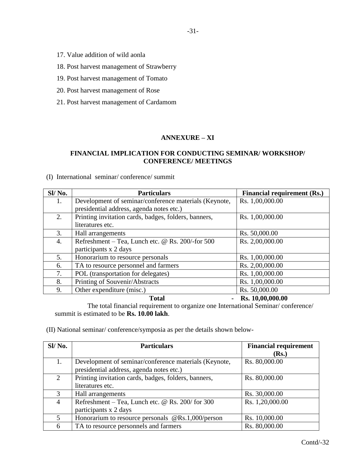- 17. Value addition of wild aonla
- 18. Post harvest management of Strawberry
- 19. Post harvest management of Tomato
- 20. Post harvest management of Rose
- 21. Post harvest management of Cardamom

# **ANNEXURE – XI**

# **FINANCIAL IMPLICATION FOR CONDUCTING SEMINAR/ WORKSHOP/ CONFERENCE/ MEETINGS**

#### (I) International seminar/ conference/ summit

| Sl/No. | <b>Particulars</b>                                    | <b>Financial requirement (Rs.)</b> |
|--------|-------------------------------------------------------|------------------------------------|
| 1.     | Development of seminar/conference materials (Keynote, | Rs. 1,00,000.00                    |
|        | presidential address, agenda notes etc.)              |                                    |
| 2.     | Printing invitation cards, badges, folders, banners,  | Rs. 1,00,000.00                    |
|        | literatures etc.                                      |                                    |
| 3.     | Hall arrangements                                     | Rs. 50,000.00                      |
| 4.     | Refreshment – Tea, Lunch etc. @ Rs. $200$ /-for 500   | Rs. 2,00,000.00                    |
|        | participants x 2 days                                 |                                    |
| 5.     | Honorarium to resource personals                      | Rs. 1,00,000.00                    |
| 6.     | TA to resource personnel and farmers                  | Rs. 2,00,000.00                    |
| 7.     | POL (transportation for delegates)                    | Rs. 1,00,000.00                    |
| 8.     | Printing of Souvenir/Abstracts                        | Rs. 1,00,000.00                    |
| 9.     | Other expenditure (misc.)                             | Rs. 50,000.00                      |
|        | <b>Total</b>                                          | Rs. 10,00,000.00                   |

The total financial requirement to organize one International Seminar/ conference/ summit is estimated to be **Rs. 10.00 lakh**.

(II) National seminar/ conference/symposia as per the details shown below-

| Sl/No. | <b>Particulars</b>                                    | <b>Financial requirement</b> |
|--------|-------------------------------------------------------|------------------------------|
|        |                                                       | (Rs.)                        |
| 1.     | Development of seminar/conference materials (Keynote, | Rs. 80,000.00                |
|        | presidential address, agenda notes etc.)              |                              |
| 2      | Printing invitation cards, badges, folders, banners,  | Rs. 80,000.00                |
|        | literatures etc.                                      |                              |
| 3      | Hall arrangements                                     | Rs. 30,000.00                |
| 4      | Refreshment – Tea, Lunch etc. @ Rs. 200/ for 300      | Rs. 1,20,000.00              |
|        | participants x 2 days                                 |                              |
| 5      | Honorarium to resource personals $@Rs.1,000/person$   | Rs. 10,000.00                |
| 6      | TA to resource personnels and farmers                 | Rs. 80,000.00                |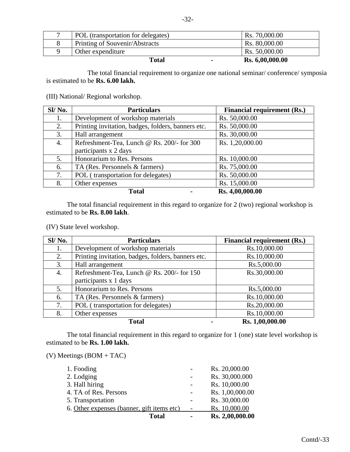| POL (transportation for delegates) | Rs. 70,000.00   |
|------------------------------------|-----------------|
| Printing of Souvenir/Abstracts     | Rs. 80,000.00   |
| Other expenditure                  | Rs. 50,000.00   |
| Total                              | Rs. 6,00,000.00 |

The total financial requirement to organize one national seminar/ conference/ symposia is estimated to be **Rs. 6.00 lakh.**

#### (III) National/ Regional workshop.

| Sl/No. | <b>Particulars</b>                                 | <b>Financial requirement (Rs.)</b> |
|--------|----------------------------------------------------|------------------------------------|
| 1.     | Development of workshop materials                  | Rs. 50,000.00                      |
| 2.     | Printing invitation, badges, folders, banners etc. | Rs. 50,000.00                      |
| 3.     | Hall arrangement                                   | Rs. 30,000.00                      |
| 4.     | Refreshment-Tea, Lunch @ Rs. 200/- for 300         | Rs. 1,20,000.00                    |
|        | participants x 2 days                              |                                    |
| 5.     | Honorarium to Res. Persons                         | Rs. 10,000.00                      |
| 6.     | TA (Res. Personnels & farmers)                     | Rs. 75,000.00                      |
| 7.     | POL (transportation for delegates)                 | Rs. 50,000.00                      |
| 8.     | Other expenses                                     | Rs. 15,000.00                      |
|        | <b>Total</b>                                       | Rs. 4,00,000.00                    |

The total financial requirement in this regard to organize for 2 (two) regional workshop is estimated to be **Rs. 8.00 lakh**.

(IV) State level workshop.

| Sl/No. | <b>Particulars</b>                                 | <b>Financial requirement (Rs.)</b> |
|--------|----------------------------------------------------|------------------------------------|
| 1.     | Development of workshop materials                  | Rs.10,000.00                       |
| 2.     | Printing invitation, badges, folders, banners etc. | Rs.10,000.00                       |
| 3.     | Hall arrangement                                   | Rs.5,000.00                        |
| 4.     | Refreshment-Tea, Lunch @ Rs. 200/- for 150         | Rs.30,000.00                       |
|        | participants x 1 days                              |                                    |
| 5.     | Honorarium to Res. Persons                         | Rs.5,000.00                        |
| 6.     | TA (Res. Personnels & farmers)                     | Rs.10,000.00                       |
| 7.     | POL (transportation for delegates)                 | Rs.20,000.00                       |
| 8.     | Other expenses                                     | Rs.10,000.00                       |
|        | <b>Total</b>                                       | Rs. 1,00,000.00                    |

The total financial requirement in this regard to organize for 1 (one) state level workshop is estimated to be **Rs. 1.00 lakh.**

(V) Meetings (BOM + TAC)

|                                            | Total | Rs. 2,00,000.00 |
|--------------------------------------------|-------|-----------------|
| 6. Other expenses (banner, gift items etc) |       | Rs. 10,000.00   |
| 5. Transportation                          |       | Rs. 30,000.00   |
| 4. TA of Res. Persons                      |       | Rs. 1,00,000.00 |
| 3. Hall hiring                             |       | Rs. 10,000.00   |
| 2. Lodging                                 |       | Rs. 30,000.000  |
| 1. Fooding                                 |       | Rs. 20,000.00   |
|                                            |       |                 |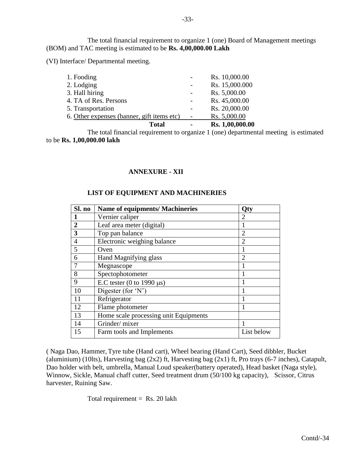The total financial requirement to organize 1 (one) Board of Management meetings (BOM) and TAC meeting is estimated to be **Rs. 4,00,000.00 Lakh**

(VI) Interface/ Departmental meeting.

| <b>Total</b>                               | $\blacksquare$ | Rs. 1,00,000.00 |
|--------------------------------------------|----------------|-----------------|
| 6. Other expenses (banner, gift items etc) |                | Rs. 5,000.00    |
| 5. Transportation                          |                | Rs. 20,000.00   |
| 4. TA of Res. Persons                      |                | Rs. 45,000.00   |
| 3. Hall hiring                             |                | Rs. 5,000.00    |
| 2. Lodging                                 |                | Rs. 15,000.000  |
| 1. Fooding                                 |                | Rs. 10,000.00   |
|                                            |                |                 |

The total financial requirement to organize 1 (one) departmental meeting is estimated to be **Rs. 1,00,000.00 lakh**

# **ANNEXURE - XII**

# **LIST OF EQUIPMENT AND MACHINERIES**

| Sl. no         | <b>Name of equipments/ Machineries</b> | Qty                         |
|----------------|----------------------------------------|-----------------------------|
|                | Vernier caliper                        | 2                           |
| $\overline{2}$ | Leaf area meter (digital)              |                             |
| 3              | Top pan balance                        | 2                           |
| $\overline{4}$ | Electronic weighing balance            | $\overline{2}$              |
| 5              | Oven                                   |                             |
| 6              | Hand Magnifying glass                  | $\mathcal{D}_{\mathcal{L}}$ |
|                | Megnascope                             |                             |
| 8              | Spectophotometer                       |                             |
| 9              | E.C tester (0 to 1990 $\mu$ s)         |                             |
| 10             | Digester (for $'N'$ )                  |                             |
| 11             | Refrigerator                           |                             |
| 12             | Flame photometer                       |                             |
| 13             | Home scale processing unit Equipments  |                             |
| 14             | Grinder/mixer                          |                             |
| 15             | Farm tools and Implements              | List below                  |

( Naga Dao, Hammer,Tyre tube (Hand cart), Wheel bearing (Hand Cart), Seed dibbler, Bucket (aluminium) (10lts), Harvesting bag (2x2) ft, Harvesting bag (2x1) ft, Pro trays (6-7 inches), Catapult, Dao holder with belt, umbrella, Manual Loud speaker(battery operated), Head basket (Naga style), Winnow, Sickle, Manual chaff cutter, Seed treatment drum (50/100 kg capacity), Scissor, Citrus harvester, Ruining Saw.

Total requirement  $=$  Rs. 20 lakh